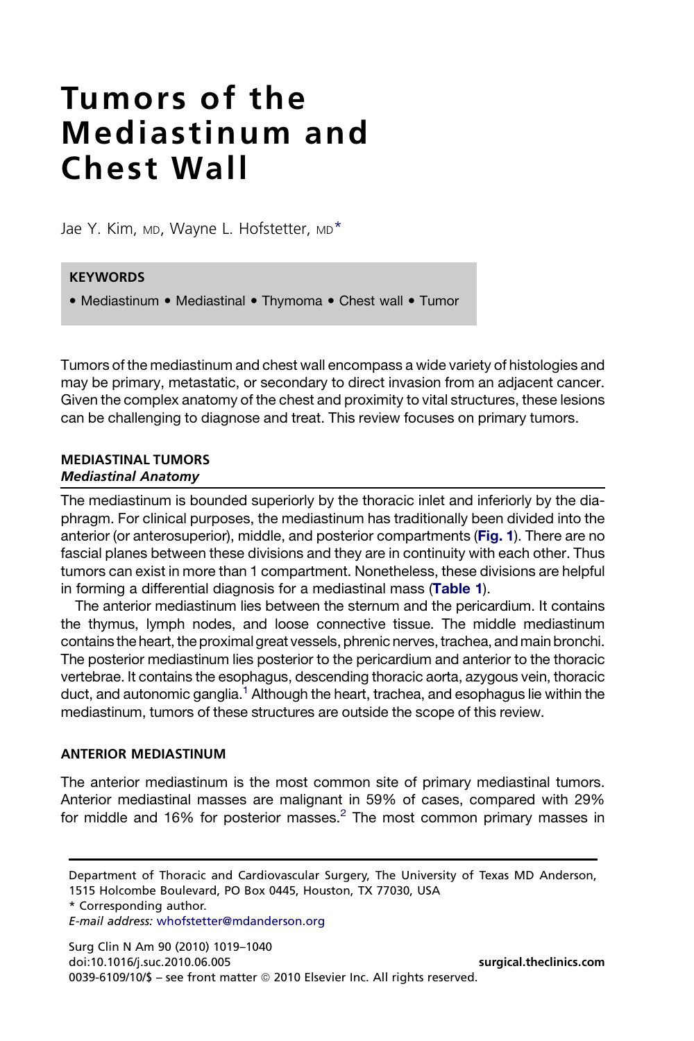# Tumors of the Mediastinum and Chest Wall

Jae Y. Kim, MD, Wayne L. Hofstetter, MD\*

# **KEYWORDS**

• Mediastinum • Mediastinal • Thymoma • Chest wall • Tumor

Tumors of the mediastinum and chest wall encompass a wide variety of histologies and may be primary, metastatic, or secondary to direct invasion from an adjacent cancer. Given the complex anatomy of the chest and proximity to vital structures, these lesions can be challenging to diagnose and treat. This review focuses on primary tumors.

# MEDIASTINAL TUMORS Mediastinal Anatomy

The mediastinum is bounded superiorly by the thoracic inlet and inferiorly by the diaphragm. For clinical purposes, the mediastinum has traditionally been divided into the anterior (or anterosuperior), middle, and posterior compartments ([Fig. 1](#page-1-0)). There are no fascial planes between these divisions and they are in continuity with each other. Thus tumors can exist in more than 1 compartment. Nonetheless, these divisions are helpful in forming a differential diagnosis for a mediastinal mass ([Table 1](#page-1-0)).

The anterior mediastinum lies between the sternum and the pericardium. It contains the thymus, lymph nodes, and loose connective tissue. The middle mediastinum contains the heart, the proximal great vessels, phrenic nerves, trachea, and main bronchi. The posterior mediastinum lies posterior to the pericardium and anterior to the thoracic vertebrae. It contains the esophagus, descending thoracic aorta, azygous vein, thoracic duct, and autonomic ganglia.<sup>1</sup> Although the heart, trachea, and esophagus lie within the mediastinum, tumors of these structures are outside the scope of this review.

# ANTERIOR MEDIASTINUM

The anterior mediastinum is the most common site of primary mediastinal tumors. Anterior mediastinal masses are malignant in 59% of cases, compared with 29% for middle and 16% for posterior masses. $<sup>2</sup>$  $<sup>2</sup>$  $<sup>2</sup>$  The most common primary masses in</sup>

Department of Thoracic and Cardiovascular Surgery, The University of Texas MD Anderson, 1515 Holcombe Boulevard, PO Box 0445, Houston, TX 77030, USA

\* Corresponding author.

E-mail address: [whofstetter@mdanderson.org](mailto:whofstetter@mdanderson.org)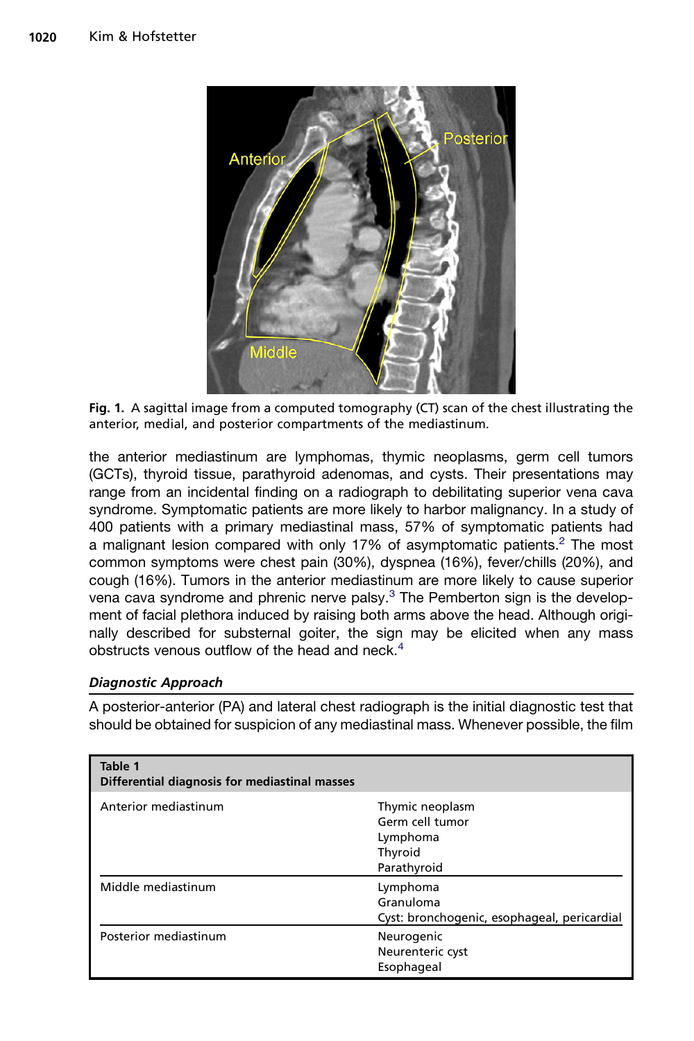<span id="page-1-0"></span>

Fig. 1. A sagittal image from a computed tomography (CT) scan of the chest illustrating the anterior, medial, and posterior compartments of the mediastinum.

the anterior mediastinum are lymphomas, thymic neoplasms, germ cell tumors (GCTs), thyroid tissue, parathyroid adenomas, and cysts. Their presentations may range from an incidental finding on a radiograph to debilitating superior vena cava syndrome. Symptomatic patients are more likely to harbor malignancy. In a study of 400 patients with a primary mediastinal mass, 57% of symptomatic patients had a malignant lesion compared with only 17% of asymptomatic patients.<sup>[2](#page-16-0)</sup> The most common symptoms were chest pain (30%), dyspnea (16%), fever/chills (20%), and cough (16%). Tumors in the anterior mediastinum are more likely to cause superior vena cava syndrome and phrenic nerve palsy.<sup>[3](#page-16-0)</sup> The Pemberton sign is the development of facial plethora induced by raising both arms above the head. Although originally described for substernal goiter, the sign may be elicited when any mass obstructs venous outflow of the head and neck.<sup>[4](#page-16-0)</sup>

# Diagnostic Approach

A posterior-anterior (PA) and lateral chest radiograph is the initial diagnostic test that should be obtained for suspicion of any mediastinal mass. Whenever possible, the film

| Table 1<br>Differential diagnosis for mediastinal masses |                                                                          |
|----------------------------------------------------------|--------------------------------------------------------------------------|
| Anterior mediastinum                                     | Thymic neoplasm<br>Germ cell tumor<br>Lymphoma<br>Thyroid<br>Parathyroid |
| Middle mediastinum                                       | Lymphoma<br>Granuloma<br>Cyst: bronchogenic, esophageal, pericardial     |
| Posterior mediastinum                                    | Neurogenic<br>Neurenteric cyst<br>Esophageal                             |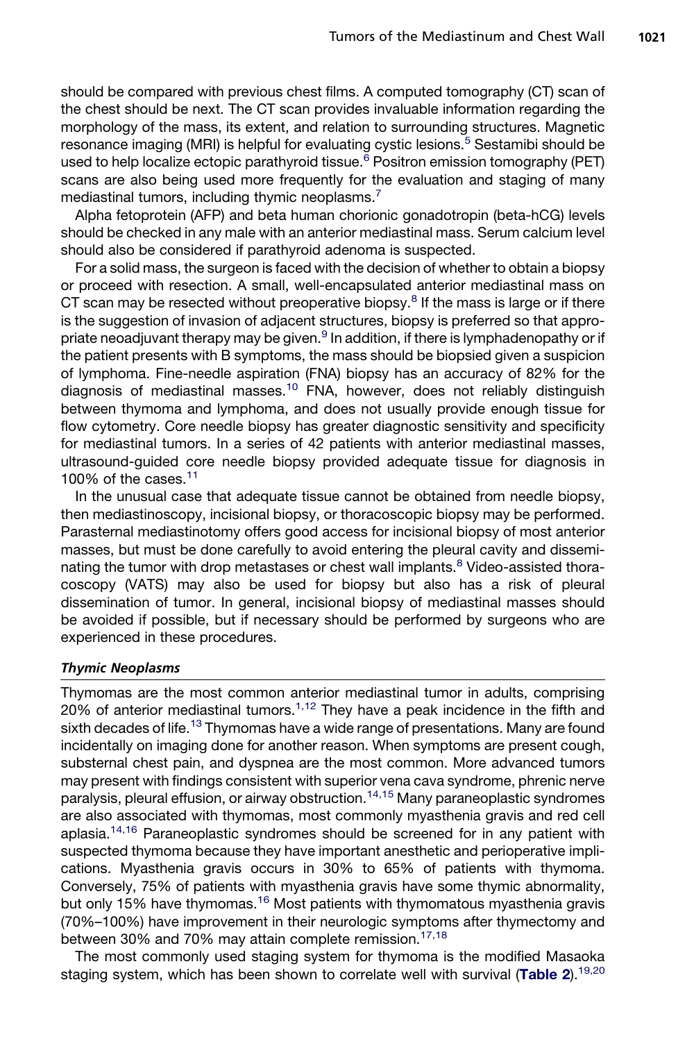should be compared with previous chest films. A computed tomography (CT) scan of the chest should be next. The CT scan provides invaluable information regarding the morphology of the mass, its extent, and relation to surrounding structures. Magnetic resonance imaging (MRI) is helpful for evaluating cystic lesions.<sup>[5](#page-16-0)</sup> Sestamibi should be used to help localize ectopic parathyroid tissue.<sup>[6](#page-16-0)</sup> Positron emission tomography (PET) scans are also being used more frequently for the evaluation and staging of many mediastinal tumors, including thymic neoplasms.<sup>[7](#page-17-0)</sup>

Alpha fetoprotein (AFP) and beta human chorionic gonadotropin (beta-hCG) levels should be checked in any male with an anterior mediastinal mass. Serum calcium level should also be considered if parathyroid adenoma is suspected.

For a solid mass, the surgeon is faced with the decision of whether to obtain a biopsy or proceed with resection. A small, well-encapsulated anterior mediastinal mass on CT scan may be resected without preoperative biopsy. $8$  If the mass is large or if there is the suggestion of invasion of adjacent structures, biopsy is preferred so that appropriate neoadjuvant therapy may be given. $9$  In addition, if there is lymphadenopathy or if the patient presents with B symptoms, the mass should be biopsied given a suspicion of lymphoma. Fine-needle aspiration (FNA) biopsy has an accuracy of 82% for the diagnosis of mediastinal masses.<sup>[10](#page-17-0)</sup> FNA, however, does not reliably distinguish between thymoma and lymphoma, and does not usually provide enough tissue for flow cytometry. Core needle biopsy has greater diagnostic sensitivity and specificity for mediastinal tumors. In a series of 42 patients with anterior mediastinal masses, ultrasound-guided core needle biopsy provided adequate tissue for diagnosis in 100% of the cases.[11](#page-17-0)

In the unusual case that adequate tissue cannot be obtained from needle biopsy, then mediastinoscopy, incisional biopsy, or thoracoscopic biopsy may be performed. Parasternal mediastinotomy offers good access for incisional biopsy of most anterior masses, but must be done carefully to avoid entering the pleural cavity and dissemi-nating the tumor with drop metastases or chest wall implants.<sup>[8](#page-17-0)</sup> Video-assisted thoracoscopy (VATS) may also be used for biopsy but also has a risk of pleural dissemination of tumor. In general, incisional biopsy of mediastinal masses should be avoided if possible, but if necessary should be performed by surgeons who are experienced in these procedures.

## Thymic Neoplasms

Thymomas are the most common anterior mediastinal tumor in adults, comprising 20% of anterior mediastinal tumors.<sup>[1,12](#page-16-0)</sup> They have a peak incidence in the fifth and sixth decades of life.<sup>[13](#page-17-0)</sup> Thymomas have a wide range of presentations. Many are found incidentally on imaging done for another reason. When symptoms are present cough, substernal chest pain, and dyspnea are the most common. More advanced tumors may present with findings consistent with superior vena cava syndrome, phrenic nerve paralysis, pleural effusion, or airway obstruction.<sup>[14,15](#page-17-0)</sup> Many paraneoplastic syndromes are also associated with thymomas, most commonly myasthenia gravis and red cell aplasia.<sup>[14,16](#page-17-0)</sup> Paraneoplastic syndromes should be screened for in any patient with suspected thymoma because they have important anesthetic and perioperative implications. Myasthenia gravis occurs in 30% to 65% of patients with thymoma. Conversely, 75% of patients with myasthenia gravis have some thymic abnormality, but only 15% have thymomas.<sup>[16](#page-17-0)</sup> Most patients with thymomatous myasthenia gravis (70%–100%) have improvement in their neurologic symptoms after thymectomy and between 30% and 70% may attain complete remission.<sup>[17,18](#page-17-0)</sup>

The most commonly used staging system for thymoma is the modified Masaoka staging system, which has been shown to correlate well with survival ([Table 2](#page-3-0)).<sup>[19,20](#page-17-0)</sup>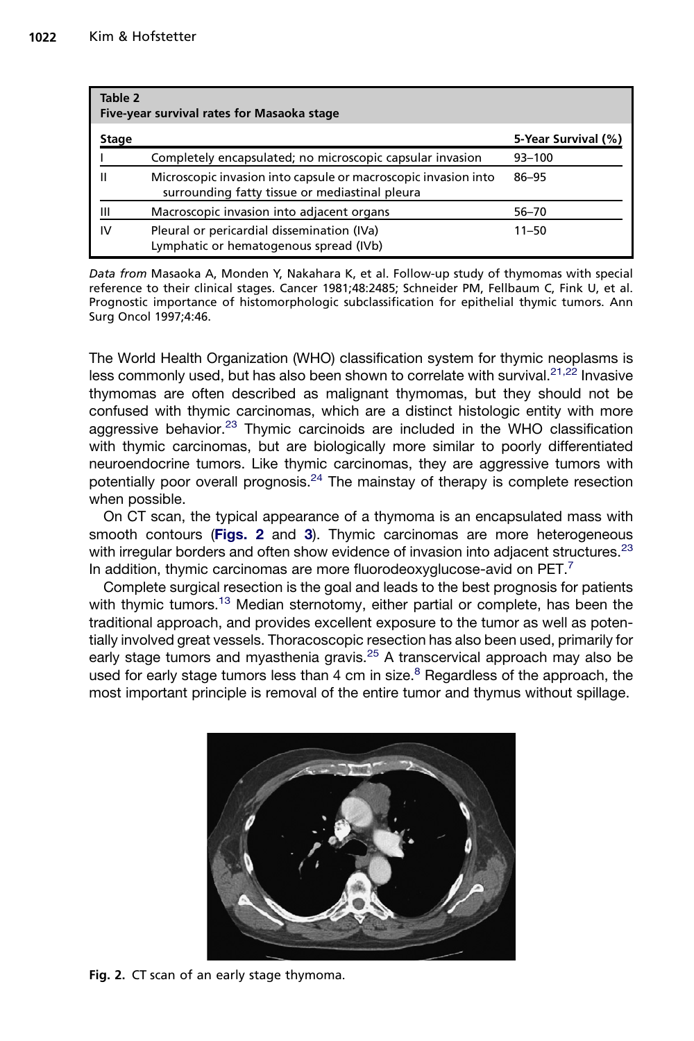<span id="page-3-0"></span>

| Table 2<br>Five-year survival rates for Masaoka stage |                                                                                                                  |                     |  |
|-------------------------------------------------------|------------------------------------------------------------------------------------------------------------------|---------------------|--|
| Stage                                                 |                                                                                                                  | 5-Year Survival (%) |  |
|                                                       | Completely encapsulated; no microscopic capsular invasion                                                        | $93 - 100$          |  |
| Ш                                                     | Microscopic invasion into capsule or macroscopic invasion into<br>surrounding fatty tissue or mediastinal pleura | 86-95               |  |
| Ш                                                     | Macroscopic invasion into adjacent organs                                                                        | 56-70               |  |
| IV                                                    | Pleural or pericardial dissemination (IVa)<br>Lymphatic or hematogenous spread (IVb)                             | $11 - 50$           |  |

Data from Masaoka A, Monden Y, Nakahara K, et al. Follow-up study of thymomas with special reference to their clinical stages. Cancer 1981;48:2485; Schneider PM, Fellbaum C, Fink U, et al. Prognostic importance of histomorphologic subclassification for epithelial thymic tumors. Ann Surg Oncol 1997;4:46.

The World Health Organization (WHO) classification system for thymic neoplasms is less commonly used, but has also been shown to correlate with survival.<sup>[21,22](#page-17-0)</sup> Invasive thymomas are often described as malignant thymomas, but they should not be confused with thymic carcinomas, which are a distinct histologic entity with more aggressive behavior. $23$  Thymic carcinoids are included in the WHO classification with thymic carcinomas, but are biologically more similar to poorly differentiated neuroendocrine tumors. Like thymic carcinomas, they are aggressive tumors with potentially poor overall prognosis.<sup>24</sup> The mainstay of therapy is complete resection when possible.

On CT scan, the typical appearance of a thymoma is an encapsulated mass with smooth contours (Figs. 2 and [3](#page-4-0)). Thymic carcinomas are more heterogeneous with irregular borders and often show evidence of invasion into adjacent structures.<sup>[23](#page-17-0)</sup> In addition, thymic carcinomas are more fluorodeoxyglucose-avid on  $PET<sup>7</sup>$  $PET<sup>7</sup>$  $PET<sup>7</sup>$ 

Complete surgical resection is the goal and leads to the best prognosis for patients with thymic tumors.<sup>13</sup> Median sternotomy, either partial or complete, has been the traditional approach, and provides excellent exposure to the tumor as well as potentially involved great vessels. Thoracoscopic resection has also been used, primarily for early stage tumors and myasthenia gravis.<sup>[25](#page-17-0)</sup> A transcervical approach may also be used for early stage tumors less than 4 cm in size. $8$  Regardless of the approach, the most important principle is removal of the entire tumor and thymus without spillage.



Fig. 2. CT scan of an early stage thymoma.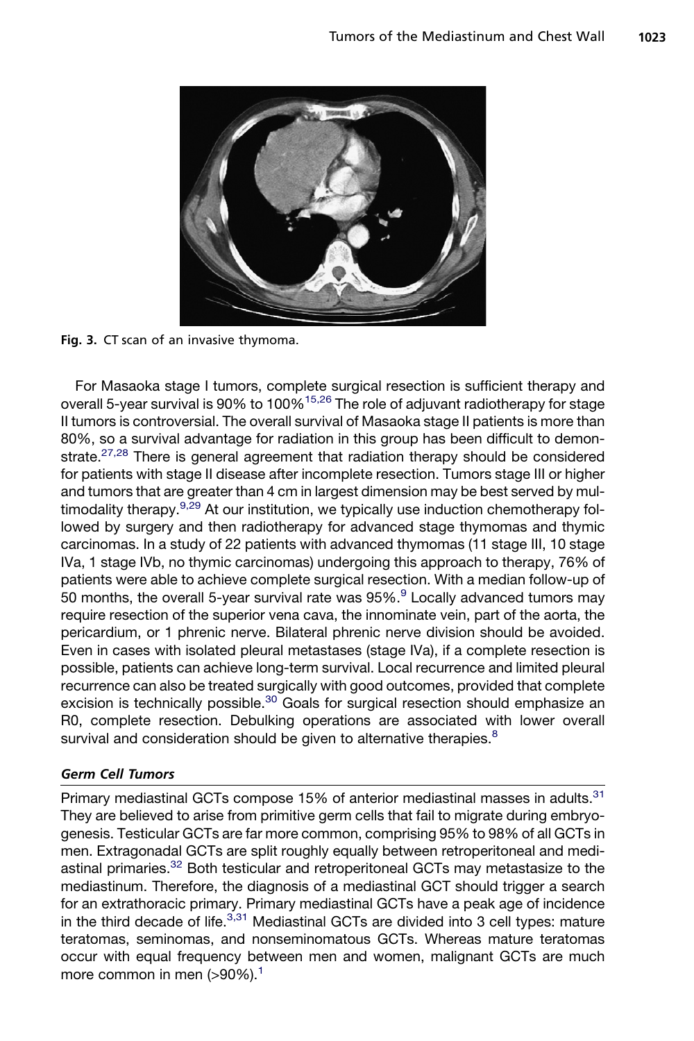<span id="page-4-0"></span>

Fig. 3. CT scan of an invasive thymoma.

For Masaoka stage I tumors, complete surgical resection is sufficient therapy and overall 5-year survival is 90% to 100%<sup>[15,26](#page-17-0)</sup> The role of adjuvant radiotherapy for stage II tumors is controversial. The overall survival of Masaoka stage II patients is more than 80%, so a survival advantage for radiation in this group has been difficult to demonstrate.<sup>27,28</sup> There is general agreement that radiation therapy should be considered for patients with stage II disease after incomplete resection. Tumors stage III or higher and tumors that are greater than 4 cm in largest dimension may be best served by multimodality therapy. $9,29$  At our institution, we typically use induction chemotherapy followed by surgery and then radiotherapy for advanced stage thymomas and thymic carcinomas. In a study of 22 patients with advanced thymomas (11 stage III, 10 stage IVa, 1 stage IVb, no thymic carcinomas) undergoing this approach to therapy, 76% of patients were able to achieve complete surgical resection. With a median follow-up of 50 months, the overall 5-year survival rate was 95%.<sup>9</sup> Locally advanced tumors may require resection of the superior vena cava, the innominate vein, part of the aorta, the pericardium, or 1 phrenic nerve. Bilateral phrenic nerve division should be avoided. Even in cases with isolated pleural metastases (stage IVa), if a complete resection is possible, patients can achieve long-term survival. Local recurrence and limited pleural recurrence can also be treated surgically with good outcomes, provided that complete excision is technically possible. $30$  Goals for surgical resection should emphasize an R0, complete resection. Debulking operations are associated with lower overall survival and consideration should be given to alternative therapies.<sup>[8](#page-17-0)</sup>

# Germ Cell Tumors

Primary mediastinal GCTs compose 15% of anterior mediastinal masses in adults.<sup>[31](#page-18-0)</sup> They are believed to arise from primitive germ cells that fail to migrate during embryogenesis. Testicular GCTs are far more common, comprising 95% to 98% of all GCTs in men. Extragonadal GCTs are split roughly equally between retroperitoneal and medi-astinal primaries.<sup>[32](#page-18-0)</sup> Both testicular and retroperitoneal GCTs may metastasize to the mediastinum. Therefore, the diagnosis of a mediastinal GCT should trigger a search for an extrathoracic primary. Primary mediastinal GCTs have a peak age of incidence in the third decade of life. $3,31$  Mediastinal GCTs are divided into 3 cell types: mature teratomas, seminomas, and nonseminomatous GCTs. Whereas mature teratomas occur with equal frequency between men and women, malignant GCTs are much more common in men  $(>90\%)$ <sup>1</sup>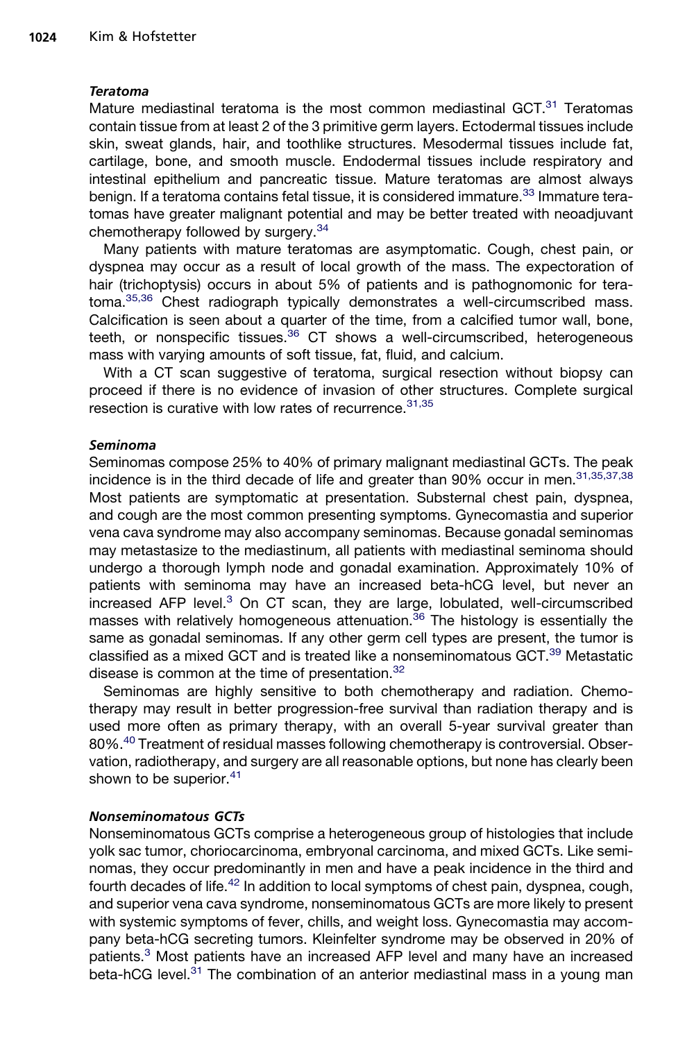#### Teratoma

Mature mediastinal teratoma is the most common mediastinal GCT.<sup>[31](#page-18-0)</sup> Teratomas contain tissue from at least 2 of the 3 primitive germ layers. Ectodermal tissues include skin, sweat glands, hair, and toothlike structures. Mesodermal tissues include fat, cartilage, bone, and smooth muscle. Endodermal tissues include respiratory and intestinal epithelium and pancreatic tissue. Mature teratomas are almost always benign. If a teratoma contains fetal tissue, it is considered immature.<sup>[33](#page-18-0)</sup> Immature teratomas have greater malignant potential and may be better treated with neoadjuvant chemotherapy followed by surgery.[34](#page-18-0)

Many patients with mature teratomas are asymptomatic. Cough, chest pain, or dyspnea may occur as a result of local growth of the mass. The expectoration of hair (trichoptysis) occurs in about 5% of patients and is pathognomonic for teratoma.[35,36](#page-18-0) Chest radiograph typically demonstrates a well-circumscribed mass. Calcification is seen about a quarter of the time, from a calcified tumor wall, bone, teeth, or nonspecific tissues.<sup>[36](#page-18-0)</sup> CT shows a well-circumscribed, heterogeneous mass with varying amounts of soft tissue, fat, fluid, and calcium.

With a CT scan suggestive of teratoma, surgical resection without biopsy can proceed if there is no evidence of invasion of other structures. Complete surgical resection is curative with low rates of recurrence. [31,35](#page-18-0)

#### Seminoma

Seminomas compose 25% to 40% of primary malignant mediastinal GCTs. The peak incidence is in the third decade of life and greater than 90% occur in men.<sup>[31,35,37,38](#page-18-0)</sup> Most patients are symptomatic at presentation. Substernal chest pain, dyspnea, and cough are the most common presenting symptoms. Gynecomastia and superior vena cava syndrome may also accompany seminomas. Because gonadal seminomas may metastasize to the mediastinum, all patients with mediastinal seminoma should undergo a thorough lymph node and gonadal examination. Approximately 10% of patients with seminoma may have an increased beta-hCG level, but never an increased AFP level.<sup>[3](#page-16-0)</sup> On CT scan, they are large, lobulated, well-circumscribed masses with relatively homogeneous attenuation. $36$  The histology is essentially the same as gonadal seminomas. If any other germ cell types are present, the tumor is classified as a mixed GCT and is treated like a nonseminomatous GCT.[39](#page-18-0) Metastatic disease is common at the time of presentation.<sup>[32](#page-18-0)</sup>

Seminomas are highly sensitive to both chemotherapy and radiation. Chemotherapy may result in better progression-free survival than radiation therapy and is used more often as primary therapy, with an overall 5-year survival greater than 80%.[40](#page-18-0) Treatment of residual masses following chemotherapy is controversial. Observation, radiotherapy, and surgery are all reasonable options, but none has clearly been shown to be superior.<sup>[41](#page-18-0)</sup>

#### Nonseminomatous GCTs

Nonseminomatous GCTs comprise a heterogeneous group of histologies that include yolk sac tumor, choriocarcinoma, embryonal carcinoma, and mixed GCTs. Like seminomas, they occur predominantly in men and have a peak incidence in the third and fourth decades of life.<sup>[42](#page-18-0)</sup> In addition to local symptoms of chest pain, dyspnea, cough, and superior vena cava syndrome, nonseminomatous GCTs are more likely to present with systemic symptoms of fever, chills, and weight loss. Gynecomastia may accompany beta-hCG secreting tumors. Kleinfelter syndrome may be observed in 20% of patients.[3](#page-16-0) Most patients have an increased AFP level and many have an increased beta-hCG level.<sup>[31](#page-18-0)</sup> The combination of an anterior mediastinal mass in a young man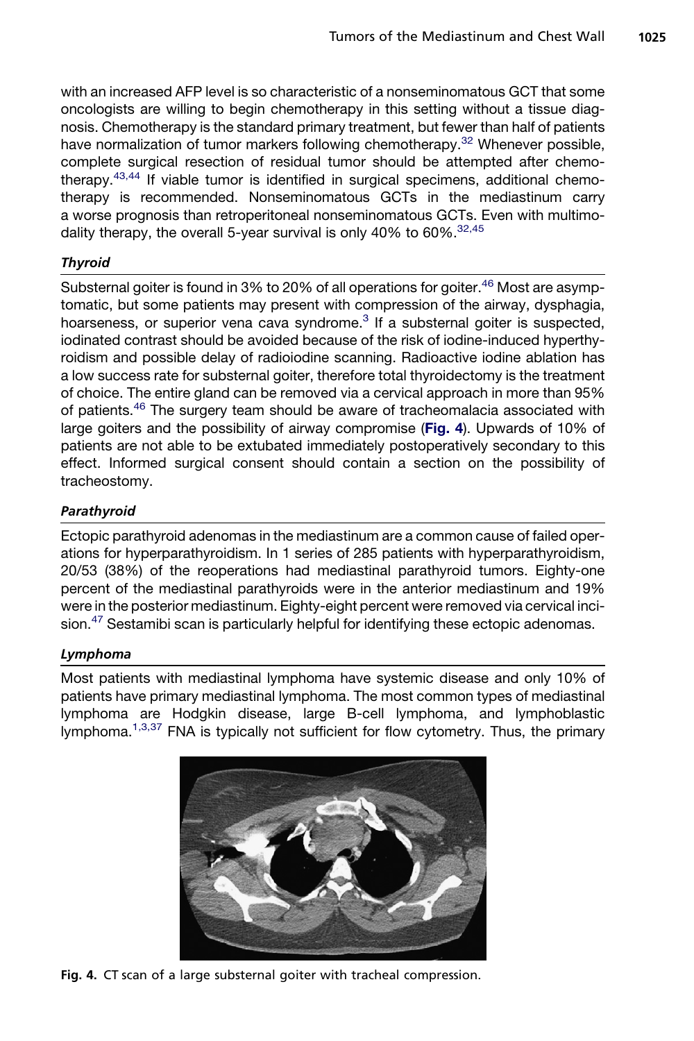with an increased AFP level is so characteristic of a nonseminomatous GCT that some oncologists are willing to begin chemotherapy in this setting without a tissue diagnosis. Chemotherapy is the standard primary treatment, but fewer than half of patients have normalization of tumor markers following chemotherapy.<sup>[32](#page-18-0)</sup> Whenever possible, complete surgical resection of residual tumor should be attempted after chemotherapy.[43,44](#page-18-0) If viable tumor is identified in surgical specimens, additional chemotherapy is recommended. Nonseminomatous GCTs in the mediastinum carry a worse prognosis than retroperitoneal nonseminomatous GCTs. Even with multimodality therapy, the overall 5-year survival is only 40% to  $60\%$ .  $32,45$ 

# **Thyroid**

Substernal goiter is found in 3% to 20% of all operations for goiter.<sup>[46](#page-18-0)</sup> Most are asymptomatic, but some patients may present with compression of the airway, dysphagia, hoarseness, or superior vena cava syndrome.<sup>[3](#page-16-0)</sup> If a substernal goiter is suspected, iodinated contrast should be avoided because of the risk of iodine-induced hyperthyroidism and possible delay of radioiodine scanning. Radioactive iodine ablation has a low success rate for substernal goiter, therefore total thyroidectomy is the treatment of choice. The entire gland can be removed via a cervical approach in more than 95% of patients.<sup>[46](#page-18-0)</sup> The surgery team should be aware of tracheomalacia associated with large goiters and the possibility of airway compromise (Fig. 4). Upwards of 10% of patients are not able to be extubated immediately postoperatively secondary to this effect. Informed surgical consent should contain a section on the possibility of tracheostomy.

# Parathyroid

Ectopic parathyroid adenomas in the mediastinum are a common cause of failed operations for hyperparathyroidism. In 1 series of 285 patients with hyperparathyroidism, 20/53 (38%) of the reoperations had mediastinal parathyroid tumors. Eighty-one percent of the mediastinal parathyroids were in the anterior mediastinum and 19% were in the posterior mediastinum. Eighty-eight percent were removed via cervical inci-sion.<sup>[47](#page-19-0)</sup> Sestamibi scan is particularly helpful for identifying these ectopic adenomas.

# Lymphoma

Most patients with mediastinal lymphoma have systemic disease and only 10% of patients have primary mediastinal lymphoma. The most common types of mediastinal lymphoma are Hodgkin disease, large B-cell lymphoma, and lymphoblastic lymphoma[.1,3,37](#page-16-0) FNA is typically not sufficient for flow cytometry. Thus, the primary



Fig. 4. CT scan of a large substernal goiter with tracheal compression.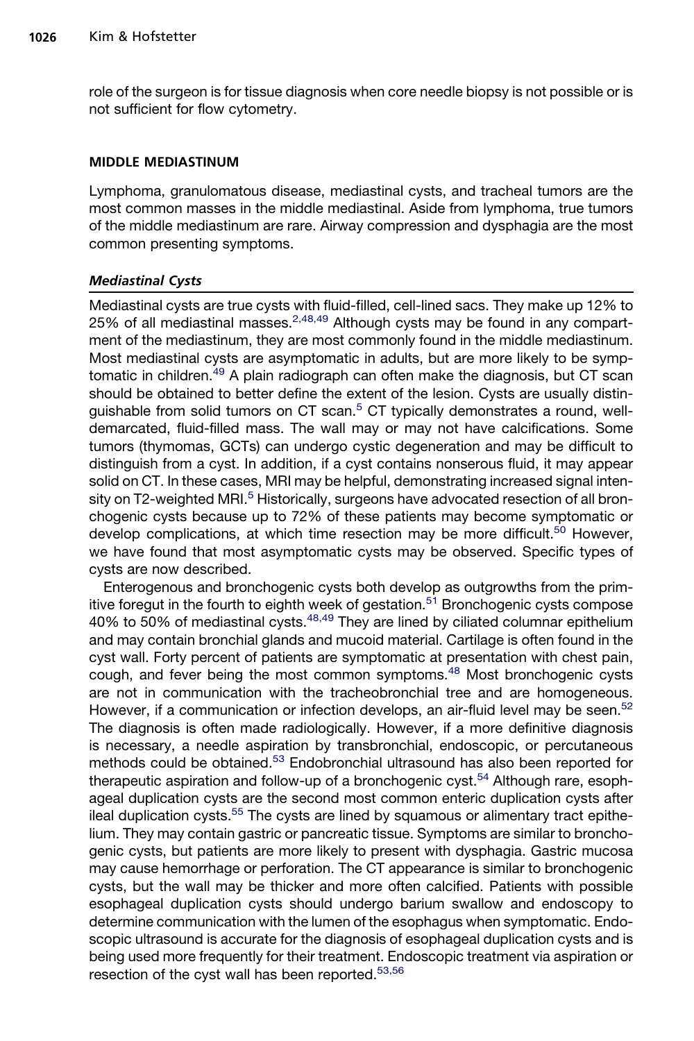role of the surgeon is for tissue diagnosis when core needle biopsy is not possible or is not sufficient for flow cytometry.

## MIDDLE MEDIASTINUM

Lymphoma, granulomatous disease, mediastinal cysts, and tracheal tumors are the most common masses in the middle mediastinal. Aside from lymphoma, true tumors of the middle mediastinum are rare. Airway compression and dysphagia are the most common presenting symptoms.

# Mediastinal Cysts

Mediastinal cysts are true cysts with fluid-filled, cell-lined sacs. They make up 12% to 25% of all mediastinal masses. $2,48,49$  Although cysts may be found in any compartment of the mediastinum, they are most commonly found in the middle mediastinum. Most mediastinal cysts are asymptomatic in adults, but are more likely to be symp-tomatic in children.<sup>[49](#page-19-0)</sup> A plain radiograph can often make the diagnosis, but CT scan should be obtained to better define the extent of the lesion. Cysts are usually distin-guishable from solid tumors on CT scan.<sup>[5](#page-16-0)</sup> CT typically demonstrates a round, welldemarcated, fluid-filled mass. The wall may or may not have calcifications. Some tumors (thymomas, GCTs) can undergo cystic degeneration and may be difficult to distinguish from a cyst. In addition, if a cyst contains nonserous fluid, it may appear solid on CT. In these cases, MRI may be helpful, demonstrating increased signal inten-sity on T2-weighted MRI.<sup>[5](#page-16-0)</sup> Historically, surgeons have advocated resection of all bronchogenic cysts because up to 72% of these patients may become symptomatic or develop complications, at which time resection may be more difficult.<sup>[50](#page-19-0)</sup> However, we have found that most asymptomatic cysts may be observed. Specific types of cysts are now described.

Enterogenous and bronchogenic cysts both develop as outgrowths from the prim-itive foregut in the fourth to eighth week of gestation.<sup>[51](#page-19-0)</sup> Bronchogenic cysts compose 40% to 50% of mediastinal cysts.<sup>[48,49](#page-19-0)</sup> They are lined by ciliated columnar epithelium and may contain bronchial glands and mucoid material. Cartilage is often found in the cyst wall. Forty percent of patients are symptomatic at presentation with chest pain, cough, and fever being the most common symptoms.[48](#page-19-0) Most bronchogenic cysts are not in communication with the tracheobronchial tree and are homogeneous. However, if a communication or infection develops, an air-fluid level may be seen.<sup>[52](#page-19-0)</sup> The diagnosis is often made radiologically. However, if a more definitive diagnosis is necessary, a needle aspiration by transbronchial, endoscopic, or percutaneous methods could be obtained.<sup>[53](#page-19-0)</sup> Endobronchial ultrasound has also been reported for therapeutic aspiration and follow-up of a bronchogenic cyst.<sup>54</sup> Although rare, esophageal duplication cysts are the second most common enteric duplication cysts after ileal duplication cysts. $55$  The cysts are lined by squamous or alimentary tract epithelium. They may contain gastric or pancreatic tissue. Symptoms are similar to bronchogenic cysts, but patients are more likely to present with dysphagia. Gastric mucosa may cause hemorrhage or perforation. The CT appearance is similar to bronchogenic cysts, but the wall may be thicker and more often calcified. Patients with possible esophageal duplication cysts should undergo barium swallow and endoscopy to determine communication with the lumen of the esophagus when symptomatic. Endoscopic ultrasound is accurate for the diagnosis of esophageal duplication cysts and is being used more frequently for their treatment. Endoscopic treatment via aspiration or resection of the cyst wall has been reported.<sup>[53,56](#page-19-0)</sup>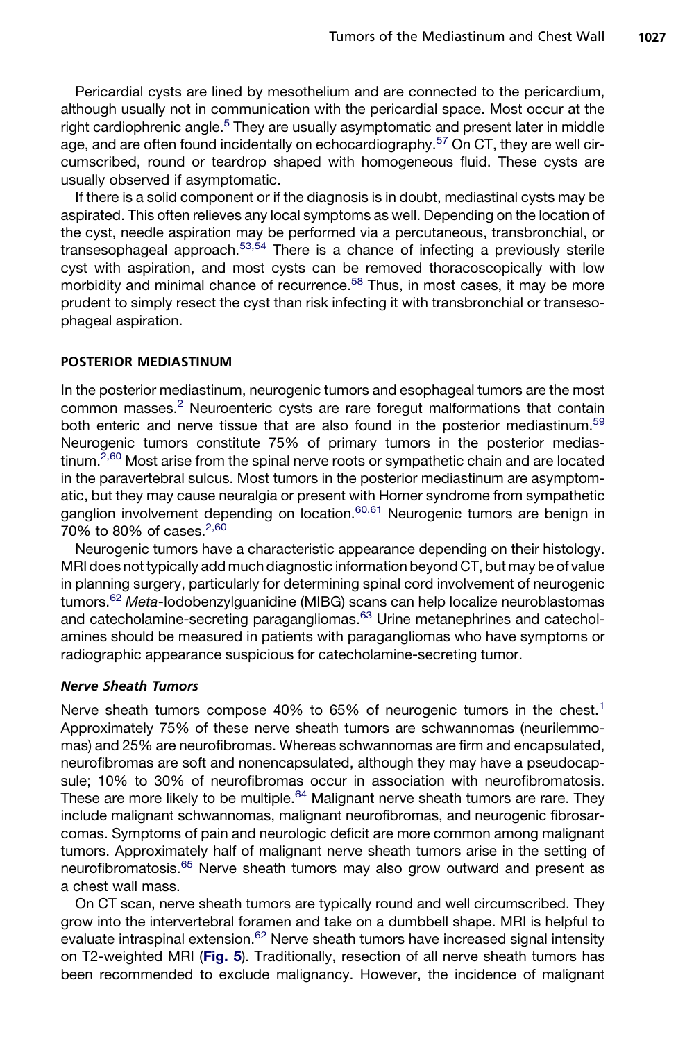Pericardial cysts are lined by mesothelium and are connected to the pericardium, although usually not in communication with the pericardial space. Most occur at the right cardiophrenic angle.<sup>[5](#page-16-0)</sup> They are usually asymptomatic and present later in middle age, and are often found incidentally on echocardiography.<sup>[57](#page-19-0)</sup> On CT, they are well circumscribed, round or teardrop shaped with homogeneous fluid. These cysts are usually observed if asymptomatic.

If there is a solid component or if the diagnosis is in doubt, mediastinal cysts may be aspirated. This often relieves any local symptoms as well. Depending on the location of the cyst, needle aspiration may be performed via a percutaneous, transbronchial, or transesophageal approach. $53,54$  There is a chance of infecting a previously sterile cyst with aspiration, and most cysts can be removed thoracoscopically with low morbidity and minimal chance of recurrence.<sup>[58](#page-19-0)</sup> Thus, in most cases, it may be more prudent to simply resect the cyst than risk infecting it with transbronchial or transesophageal aspiration.

## POSTERIOR MEDIASTINUM

In the posterior mediastinum, neurogenic tumors and esophageal tumors are the most common masses.<sup>[2](#page-16-0)</sup> Neuroenteric cysts are rare foregut malformations that contain both enteric and nerve tissue that are also found in the posterior mediastinum.<sup>[59](#page-19-0)</sup> Neurogenic tumors constitute 75% of primary tumors in the posterior medias-tinum.<sup>[2,60](#page-16-0)</sup> Most arise from the spinal nerve roots or sympathetic chain and are located in the paravertebral sulcus. Most tumors in the posterior mediastinum are asymptomatic, but they may cause neuralgia or present with Horner syndrome from sympathetic ganglion involvement depending on location.<sup>[60,61](#page-19-0)</sup> Neurogenic tumors are benign in 70% to 80% of cases.<sup>2,60</sup>

Neurogenic tumors have a characteristic appearance depending on their histology. MRI does not typically add much diagnostic information beyond CT, but may be of value in planning surgery, particularly for determining spinal cord involvement of neurogenic tumors[.62](#page-19-0) *Meta*-Iodobenzylguanidine (MIBG) scans can help localize neuroblastomas and catecholamine-secreting paragangliomas.<sup>[63](#page-19-0)</sup> Urine metanephrines and catecholamines should be measured in patients with paragangliomas who have symptoms or radiographic appearance suspicious for catecholamine-secreting tumor.

## Nerve Sheath Tumors

Nerve sheath tumors compose 40% to 65% of neurogenic tumors in the chest.<sup>[1](#page-16-0)</sup> Approximately 75% of these nerve sheath tumors are schwannomas (neurilemmomas) and 25% are neurofibromas. Whereas schwannomas are firm and encapsulated, neurofibromas are soft and nonencapsulated, although they may have a pseudocapsule; 10% to 30% of neurofibromas occur in association with neurofibromatosis. These are more likely to be multiple. $64$  Malignant nerve sheath tumors are rare. They include malignant schwannomas, malignant neurofibromas, and neurogenic fibrosarcomas. Symptoms of pain and neurologic deficit are more common among malignant tumors. Approximately half of malignant nerve sheath tumors arise in the setting of neurofibromatosis.<sup>[65](#page-19-0)</sup> Nerve sheath tumors may also grow outward and present as a chest wall mass.

On CT scan, nerve sheath tumors are typically round and well circumscribed. They grow into the intervertebral foramen and take on a dumbbell shape. MRI is helpful to evaluate intraspinal extension.<sup>[62](#page-19-0)</sup> Nerve sheath tumors have increased signal intensity on T2-weighted MRI ([Fig. 5](#page-9-0)). Traditionally, resection of all nerve sheath tumors has been recommended to exclude malignancy. However, the incidence of malignant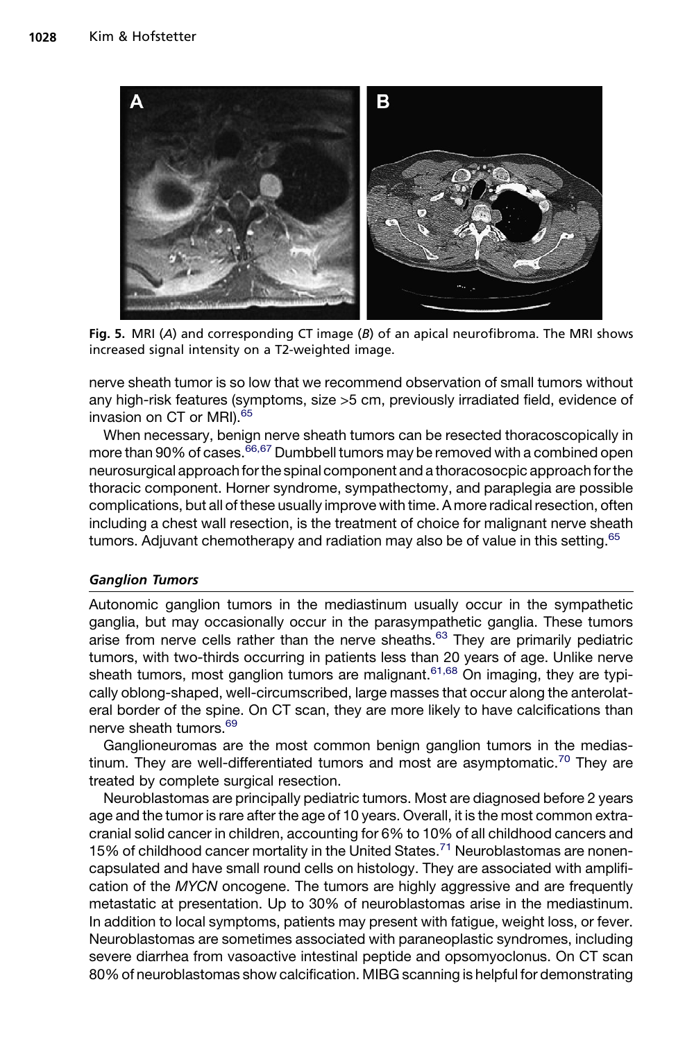<span id="page-9-0"></span>

Fig. 5. MRI (A) and corresponding CT image (B) of an apical neurofibroma. The MRI shows increased signal intensity on a T2-weighted image.

nerve sheath tumor is so low that we recommend observation of small tumors without any high-risk features (symptoms, size >5 cm, previously irradiated field, evidence of invasion on CT or MRI).<sup>[65](#page-19-0)</sup>

When necessary, benign nerve sheath tumors can be resected thoracoscopically in more than 90% of cases.<sup>[66,67](#page-19-0)</sup> Dumbbell tumors may be removed with a combined open neurosurgical approach for the spinal component and a thoracosocpic approach for the thoracic component. Horner syndrome, sympathectomy, and paraplegia are possible complications, but all of these usually improve with time. A more radical resection, often including a chest wall resection, is the treatment of choice for malignant nerve sheath tumors. Adjuvant chemotherapy and radiation may also be of value in this setting.<sup>[65](#page-19-0)</sup>

## Ganglion Tumors

Autonomic ganglion tumors in the mediastinum usually occur in the sympathetic ganglia, but may occasionally occur in the parasympathetic ganglia. These tumors arise from nerve cells rather than the nerve sheaths.<sup>[63](#page-19-0)</sup> They are primarily pediatric tumors, with two-thirds occurring in patients less than 20 years of age. Unlike nerve sheath tumors, most ganglion tumors are malignant.<sup>[61,68](#page-19-0)</sup> On imaging, they are typically oblong-shaped, well-circumscribed, large masses that occur along the anterolateral border of the spine. On CT scan, they are more likely to have calcifications than nerve sheath tumors.<sup>69</sup>

Ganglioneuromas are the most common benign ganglion tumors in the medias-tinum. They are well-differentiated tumors and most are asymptomatic.<sup>[70](#page-19-0)</sup> They are treated by complete surgical resection.

Neuroblastomas are principally pediatric tumors. Most are diagnosed before 2 years age and the tumor is rare after the age of 10 years. Overall, it is the most common extracranial solid cancer in children, accounting for 6% to 10% of all childhood cancers and 15% of childhood cancer mortality in the United States.[71](#page-20-0) Neuroblastomas are nonencapsulated and have small round cells on histology. They are associated with amplification of the *MYCN* oncogene. The tumors are highly aggressive and are frequently metastatic at presentation. Up to 30% of neuroblastomas arise in the mediastinum. In addition to local symptoms, patients may present with fatigue, weight loss, or fever. Neuroblastomas are sometimes associated with paraneoplastic syndromes, including severe diarrhea from vasoactive intestinal peptide and opsomyoclonus. On CT scan 80% of neuroblastomas show calcification. MIBG scanning is helpful for demonstrating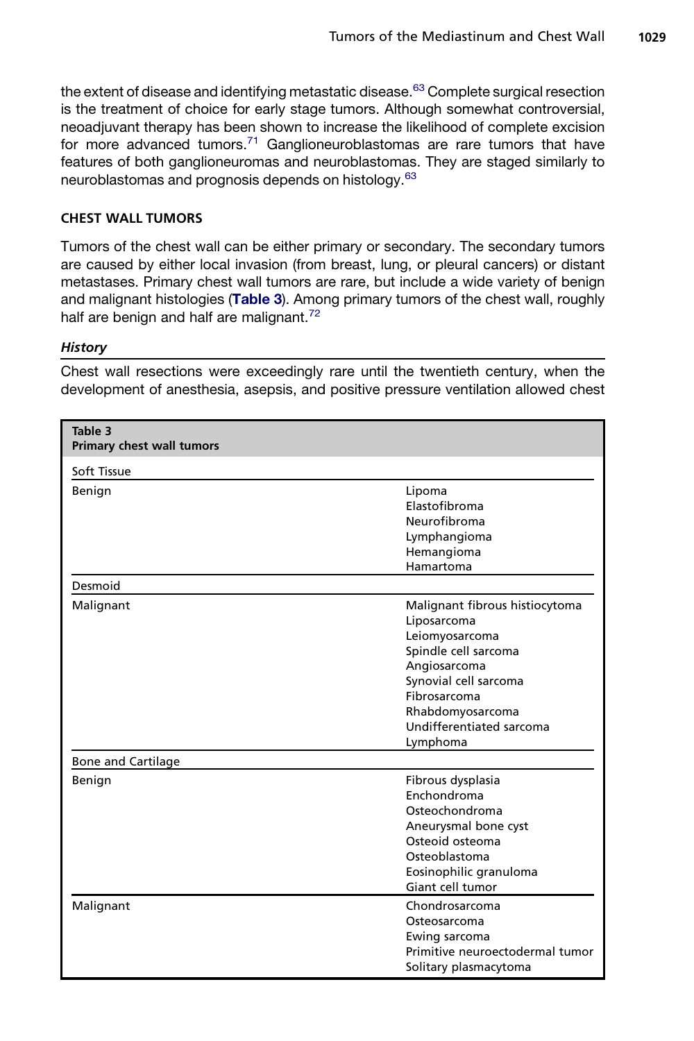the extent of disease and identifying metastatic disease.<sup>[63](#page-19-0)</sup> Complete surgical resection is the treatment of choice for early stage tumors. Although somewhat controversial, neoadjuvant therapy has been shown to increase the likelihood of complete excision for more advanced tumors. $71$  Ganglioneuroblastomas are rare tumors that have features of both ganglioneuromas and neuroblastomas. They are staged similarly to neuroblastomas and prognosis depends on histology.<sup>[63](#page-19-0)</sup>

# CHEST WALL TUMORS

Tumors of the chest wall can be either primary or secondary. The secondary tumors are caused by either local invasion (from breast, lung, or pleural cancers) or distant metastases. Primary chest wall tumors are rare, but include a wide variety of benign and malignant histologies (Table 3). Among primary tumors of the chest wall, roughly half are benign and half are malignant.<sup>[72](#page-20-0)</sup>

## **History**

Chest wall resections were exceedingly rare until the twentieth century, when the development of anesthesia, asepsis, and positive pressure ventilation allowed chest

| Table 3<br>Primary chest wall tumors |                                                                                                                                                                                                              |  |  |
|--------------------------------------|--------------------------------------------------------------------------------------------------------------------------------------------------------------------------------------------------------------|--|--|
| Soft Tissue                          |                                                                                                                                                                                                              |  |  |
| Benign                               | Lipoma<br>Elastofibroma<br>Neurofibroma<br>Lymphangioma<br>Hemangioma<br>Hamartoma                                                                                                                           |  |  |
| Desmoid                              |                                                                                                                                                                                                              |  |  |
| Malignant                            | Malignant fibrous histiocytoma<br>Liposarcoma<br>Leiomyosarcoma<br>Spindle cell sarcoma<br>Angiosarcoma<br>Synovial cell sarcoma<br>Fibrosarcoma<br>Rhabdomyosarcoma<br>Undifferentiated sarcoma<br>Lymphoma |  |  |
| <b>Bone and Cartilage</b>            |                                                                                                                                                                                                              |  |  |
| Benign                               | Fibrous dysplasia<br>Enchondroma<br>Osteochondroma<br>Aneurysmal bone cyst<br>Osteoid osteoma<br>Osteoblastoma<br>Eosinophilic granuloma<br>Giant cell tumor                                                 |  |  |
| Malignant                            | Chondrosarcoma<br>Osteosarcoma<br>Ewing sarcoma<br>Primitive neuroectodermal tumor<br>Solitary plasmacytoma                                                                                                  |  |  |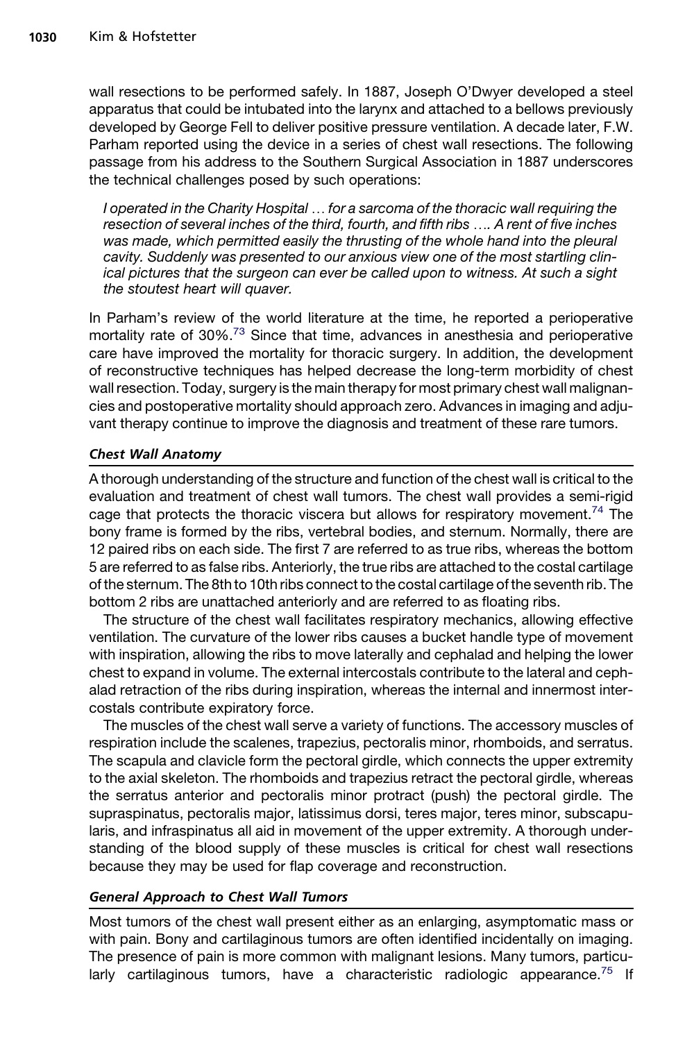wall resections to be performed safely. In 1887, Joseph O'Dwyer developed a steel apparatus that could be intubated into the larynx and attached to a bellows previously developed by George Fell to deliver positive pressure ventilation. A decade later, F.W. Parham reported using the device in a series of chest wall resections. The following passage from his address to the Southern Surgical Association in 1887 underscores the technical challenges posed by such operations:

*I operated in the Charity Hospital* . *for a sarcoma of the thoracic wall requiring the resection of several inches of the third, fourth, and fifth ribs* .*. A rent of five inches was made, which permitted easily the thrusting of the whole hand into the pleural cavity. Suddenly was presented to our anxious view one of the most startling clinical pictures that the surgeon can ever be called upon to witness. At such a sight the stoutest heart will quaver.*

In Parham's review of the world literature at the time, he reported a perioperative mortality rate of 30%.<sup>73</sup> Since that time, advances in anesthesia and perioperative care have improved the mortality for thoracic surgery. In addition, the development of reconstructive techniques has helped decrease the long-term morbidity of chest wall resection. Today, surgery is the main therapy for most primary chest wall malignancies and postoperative mortality should approach zero. Advances in imaging and adjuvant therapy continue to improve the diagnosis and treatment of these rare tumors.

# Chest Wall Anatomy

A thorough understanding of the structure and function of the chest wall is critical to the evaluation and treatment of chest wall tumors. The chest wall provides a semi-rigid cage that protects the thoracic viscera but allows for respiratory movement.<sup>[74](#page-20-0)</sup> The bony frame is formed by the ribs, vertebral bodies, and sternum. Normally, there are 12 paired ribs on each side. The first 7 are referred to as true ribs, whereas the bottom 5 are referred to as false ribs. Anteriorly, the true ribs are attached to the costal cartilage of the sternum. The 8th to 10th ribs connect to the costal cartilage of the seventh rib. The bottom 2 ribs are unattached anteriorly and are referred to as floating ribs.

The structure of the chest wall facilitates respiratory mechanics, allowing effective ventilation. The curvature of the lower ribs causes a bucket handle type of movement with inspiration, allowing the ribs to move laterally and cephalad and helping the lower chest to expand in volume. The external intercostals contribute to the lateral and cephalad retraction of the ribs during inspiration, whereas the internal and innermost intercostals contribute expiratory force.

The muscles of the chest wall serve a variety of functions. The accessory muscles of respiration include the scalenes, trapezius, pectoralis minor, rhomboids, and serratus. The scapula and clavicle form the pectoral girdle, which connects the upper extremity to the axial skeleton. The rhomboids and trapezius retract the pectoral girdle, whereas the serratus anterior and pectoralis minor protract (push) the pectoral girdle. The supraspinatus, pectoralis major, latissimus dorsi, teres major, teres minor, subscapularis, and infraspinatus all aid in movement of the upper extremity. A thorough understanding of the blood supply of these muscles is critical for chest wall resections because they may be used for flap coverage and reconstruction.

## General Approach to Chest Wall Tumors

Most tumors of the chest wall present either as an enlarging, asymptomatic mass or with pain. Bony and cartilaginous tumors are often identified incidentally on imaging. The presence of pain is more common with malignant lesions. Many tumors, particu-larly cartilaginous tumors, have a characteristic radiologic appearance.<sup>[75](#page-20-0)</sup> If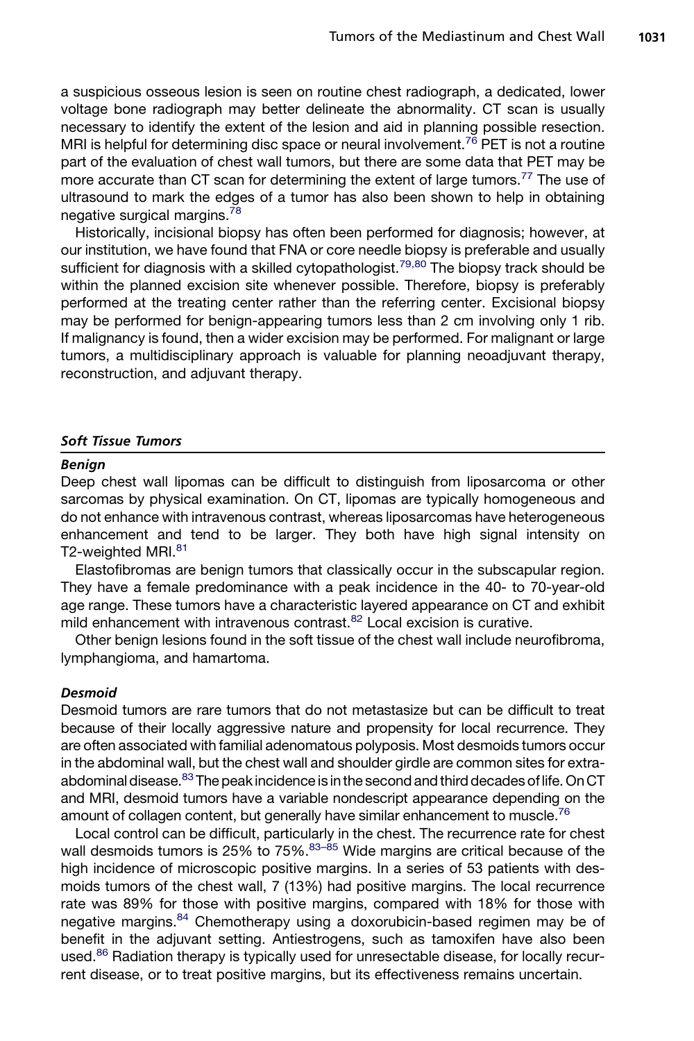a suspicious osseous lesion is seen on routine chest radiograph, a dedicated, lower voltage bone radiograph may better delineate the abnormality. CT scan is usually necessary to identify the extent of the lesion and aid in planning possible resection. MRI is helpful for determining disc space or neural involvement.<sup>[76](#page-20-0)</sup> PET is not a routine part of the evaluation of chest wall tumors, but there are some data that PET may be more accurate than CT scan for determining the extent of large tumors.<sup>[77](#page-20-0)</sup> The use of ultrasound to mark the edges of a tumor has also been shown to help in obtaining negative surgical margins.[78](#page-20-0)

Historically, incisional biopsy has often been performed for diagnosis; however, at our institution, we have found that FNA or core needle biopsy is preferable and usually sufficient for diagnosis with a skilled cytopathologist.<sup>[79,80](#page-20-0)</sup> The biopsy track should be within the planned excision site whenever possible. Therefore, biopsy is preferably performed at the treating center rather than the referring center. Excisional biopsy may be performed for benign-appearing tumors less than 2 cm involving only 1 rib. If malignancy is found, then a wider excision may be performed. For malignant or large tumors, a multidisciplinary approach is valuable for planning neoadjuvant therapy, reconstruction, and adjuvant therapy.

# Soft Tissue Tumors

#### Benign

Deep chest wall lipomas can be difficult to distinguish from liposarcoma or other sarcomas by physical examination. On CT, lipomas are typically homogeneous and do not enhance with intravenous contrast, whereas liposarcomas have heterogeneous enhancement and tend to be larger. They both have high signal intensity on T<sub>2</sub>-weighted MRI.<sup>[81](#page-20-0)</sup>

Elastofibromas are benign tumors that classically occur in the subscapular region. They have a female predominance with a peak incidence in the 40- to 70-year-old age range. These tumors have a characteristic layered appearance on CT and exhibit mild enhancement with intravenous contrast.<sup>[82](#page-20-0)</sup> Local excision is curative.

Other benign lesions found in the soft tissue of the chest wall include neurofibroma, lymphangioma, and hamartoma.

## Desmoid

Desmoid tumors are rare tumors that do not metastasize but can be difficult to treat because of their locally aggressive nature and propensity for local recurrence. They are often associated with familial adenomatous polyposis. Most desmoids tumors occur in the abdominal wall, but the chest wall and shoulder girdle are common sites for extraabdominal disease.<sup>83</sup> The peak incidence is in the second and third decades of life. On CT and MRI, desmoid tumors have a variable nondescript appearance depending on the amount of collagen content, but generally have similar enhancement to muscle.<sup>76</sup>

Local control can be difficult, particularly in the chest. The recurrence rate for chest wall desmoids tumors is 25% to 75%.<sup>83-85</sup> Wide margins are critical because of the high incidence of microscopic positive margins. In a series of 53 patients with desmoids tumors of the chest wall, 7 (13%) had positive margins. The local recurrence rate was 89% for those with positive margins, compared with 18% for those with negative margins.<sup>84</sup> Chemotherapy using a doxorubicin-based regimen may be of benefit in the adjuvant setting. Antiestrogens, such as tamoxifen have also been used.<sup>[86](#page-20-0)</sup> Radiation therapy is typically used for unresectable disease, for locally recurrent disease, or to treat positive margins, but its effectiveness remains uncertain.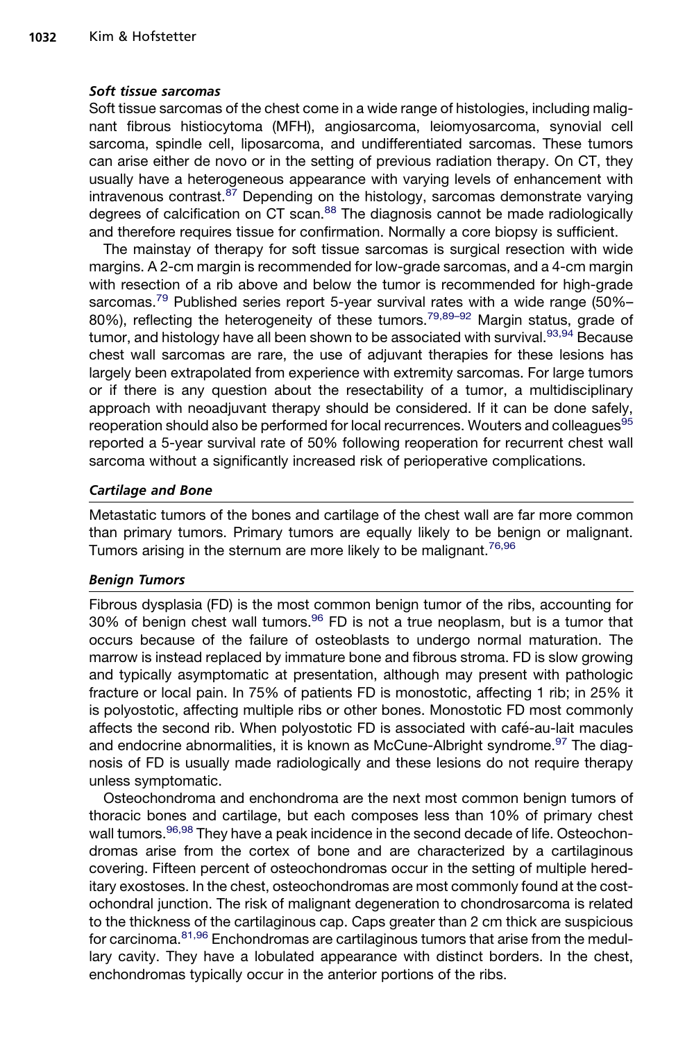#### Soft tissue sarcomas

Soft tissue sarcomas of the chest come in a wide range of histologies, including malignant fibrous histiocytoma (MFH), angiosarcoma, leiomyosarcoma, synovial cell sarcoma, spindle cell, liposarcoma, and undifferentiated sarcomas. These tumors can arise either de novo or in the setting of previous radiation therapy. On CT, they usually have a heterogeneous appearance with varying levels of enhancement with intravenous contrast.<sup>[87](#page-20-0)</sup> Depending on the histology, sarcomas demonstrate varying degrees of calcification on CT scan.<sup>[88](#page-20-0)</sup> The diagnosis cannot be made radiologically and therefore requires tissue for confirmation. Normally a core biopsy is sufficient.

The mainstay of therapy for soft tissue sarcomas is surgical resection with wide margins. A 2-cm margin is recommended for low-grade sarcomas, and a 4-cm margin with resection of a rib above and below the tumor is recommended for high-grade sarcomas.<sup>[79](#page-20-0)</sup> Published series report 5-year survival rates with a wide range (50%– 80%), reflecting the heterogeneity of these tumors.<sup>79,89-92</sup> Margin status, grade of tumor, and histology have all been shown to be associated with survival.<sup>93,94</sup> Because chest wall sarcomas are rare, the use of adjuvant therapies for these lesions has largely been extrapolated from experience with extremity sarcomas. For large tumors or if there is any question about the resectability of a tumor, a multidisciplinary approach with neoadjuvant therapy should be considered. If it can be done safely, reoperation should also be performed for local recurrences. Wouters and colleagues<sup>[95](#page-21-0)</sup> reported a 5-year survival rate of 50% following reoperation for recurrent chest wall sarcoma without a significantly increased risk of perioperative complications.

## Cartilage and Bone

Metastatic tumors of the bones and cartilage of the chest wall are far more common than primary tumors. Primary tumors are equally likely to be benign or malignant. Tumors arising in the sternum are more likely to be malignant.<sup>[76,96](#page-20-0)</sup>

## Benign Tumors

Fibrous dysplasia (FD) is the most common benign tumor of the ribs, accounting for 30% of benign chest wall tumors.<sup>[96](#page-21-0)</sup> FD is not a true neoplasm, but is a tumor that occurs because of the failure of osteoblasts to undergo normal maturation. The marrow is instead replaced by immature bone and fibrous stroma. FD is slow growing and typically asymptomatic at presentation, although may present with pathologic fracture or local pain. In 75% of patients FD is monostotic, affecting 1 rib; in 25% it is polyostotic, affecting multiple ribs or other bones. Monostotic FD most commonly affects the second rib. When polyostotic FD is associated with café-au-lait macules and endocrine abnormalities, it is known as McCune-Albright syndrome. $97$  The diagnosis of FD is usually made radiologically and these lesions do not require therapy unless symptomatic.

Osteochondroma and enchondroma are the next most common benign tumors of thoracic bones and cartilage, but each composes less than 10% of primary chest wall tumors.<sup>[96,98](#page-21-0)</sup> They have a peak incidence in the second decade of life. Osteochondromas arise from the cortex of bone and are characterized by a cartilaginous covering. Fifteen percent of osteochondromas occur in the setting of multiple hereditary exostoses. In the chest, osteochondromas are most commonly found at the costochondral junction. The risk of malignant degeneration to chondrosarcoma is related to the thickness of the cartilaginous cap. Caps greater than 2 cm thick are suspicious for carcinoma.<sup>[81,96](#page-20-0)</sup> Enchondromas are cartilaginous tumors that arise from the medullary cavity. They have a lobulated appearance with distinct borders. In the chest, enchondromas typically occur in the anterior portions of the ribs.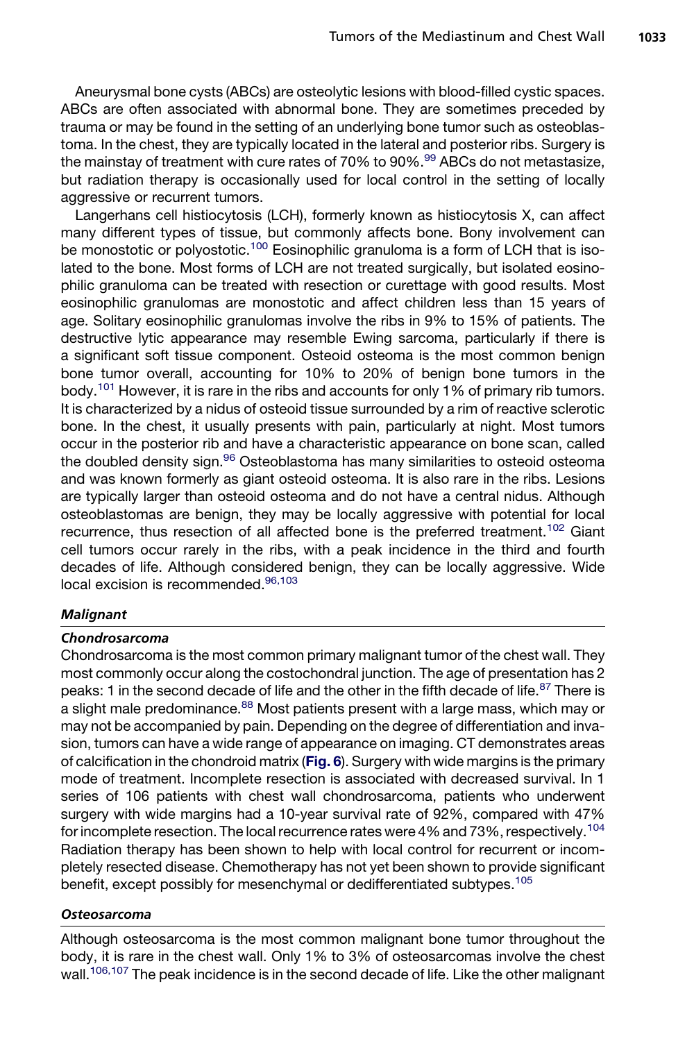Aneurysmal bone cysts (ABCs) are osteolytic lesions with blood-filled cystic spaces. ABCs are often associated with abnormal bone. They are sometimes preceded by trauma or may be found in the setting of an underlying bone tumor such as osteoblastoma. In the chest, they are typically located in the lateral and posterior ribs. Surgery is the mainstay of treatment with cure rates of 70% to 90%.<sup>[99](#page-21-0)</sup> ABCs do not metastasize, but radiation therapy is occasionally used for local control in the setting of locally aggressive or recurrent tumors.

Langerhans cell histiocytosis (LCH), formerly known as histiocytosis X, can affect many different types of tissue, but commonly affects bone. Bony involvement can be monostotic or polyostotic.<sup>[100](#page-21-0)</sup> Eosinophilic granuloma is a form of LCH that is isolated to the bone. Most forms of LCH are not treated surgically, but isolated eosinophilic granuloma can be treated with resection or curettage with good results. Most eosinophilic granulomas are monostotic and affect children less than 15 years of age. Solitary eosinophilic granulomas involve the ribs in 9% to 15% of patients. The destructive lytic appearance may resemble Ewing sarcoma, particularly if there is a significant soft tissue component. Osteoid osteoma is the most common benign bone tumor overall, accounting for 10% to 20% of benign bone tumors in the body.<sup>[101](#page-21-0)</sup> However, it is rare in the ribs and accounts for only 1% of primary rib tumors. It is characterized by a nidus of osteoid tissue surrounded by a rim of reactive sclerotic bone. In the chest, it usually presents with pain, particularly at night. Most tumors occur in the posterior rib and have a characteristic appearance on bone scan, called the doubled density sign.<sup>[96](#page-21-0)</sup> Osteoblastoma has many similarities to osteoid osteoma and was known formerly as giant osteoid osteoma. It is also rare in the ribs. Lesions are typically larger than osteoid osteoma and do not have a central nidus. Although osteoblastomas are benign, they may be locally aggressive with potential for local recurrence, thus resection of all affected bone is the preferred treatment.[102](#page-21-0) Giant cell tumors occur rarely in the ribs, with a peak incidence in the third and fourth decades of life. Although considered benign, they can be locally aggressive. Wide local excision is recommended [96,103](#page-21-0)

## **Malignant**

## Chondrosarcoma

Chondrosarcoma is the most common primary malignant tumor of the chest wall. They most commonly occur along the costochondral junction. The age of presentation has 2 peaks: 1 in the second decade of life and the other in the fifth decade of life.<sup>[87](#page-20-0)</sup> There is a slight male predominance.<sup>[88](#page-20-0)</sup> Most patients present with a large mass, which may or may not be accompanied by pain. Depending on the degree of differentiation and invasion, tumors can have a wide range of appearance on imaging. CT demonstrates areas of calcification in the chondroid matrix  $(Fig. 6)$  $(Fig. 6)$  $(Fig. 6)$ . Surgery with wide margins is the primary mode of treatment. Incomplete resection is associated with decreased survival. In 1 series of 106 patients with chest wall chondrosarcoma, patients who underwent surgery with wide margins had a 10-year survival rate of 92%, compared with 47% for incomplete resection. The local recurrence rates were 4% and 73%, respectively.<sup>[104](#page-21-0)</sup> Radiation therapy has been shown to help with local control for recurrent or incompletely resected disease. Chemotherapy has not yet been shown to provide significant benefit, except possibly for mesenchymal or dedifferentiated subtypes.<sup>[105](#page-21-0)</sup>

## Osteosarcoma

Although osteosarcoma is the most common malignant bone tumor throughout the body, it is rare in the chest wall. Only 1% to 3% of osteosarcomas involve the chest wall.<sup>[106,107](#page-21-0)</sup> The peak incidence is in the second decade of life. Like the other malignant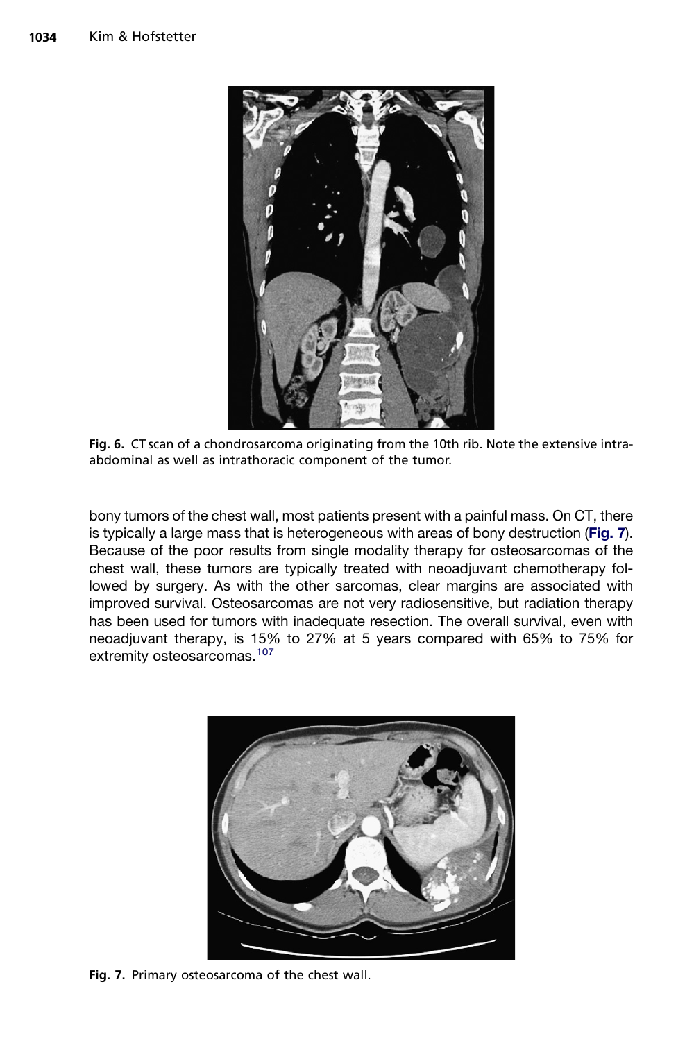<span id="page-15-0"></span>

Fig. 6. CT scan of a chondrosarcoma originating from the 10th rib. Note the extensive intraabdominal as well as intrathoracic component of the tumor.

bony tumors of the chest wall, most patients present with a painful mass. On CT, there is typically a large mass that is heterogeneous with areas of bony destruction (Fig. 7). Because of the poor results from single modality therapy for osteosarcomas of the chest wall, these tumors are typically treated with neoadjuvant chemotherapy followed by surgery. As with the other sarcomas, clear margins are associated with improved survival. Osteosarcomas are not very radiosensitive, but radiation therapy has been used for tumors with inadequate resection. The overall survival, even with neoadjuvant therapy, is 15% to 27% at 5 years compared with 65% to 75% for extremity osteosarcomas.<sup>[107](#page-21-0)</sup>



Fig. 7. Primary osteosarcoma of the chest wall.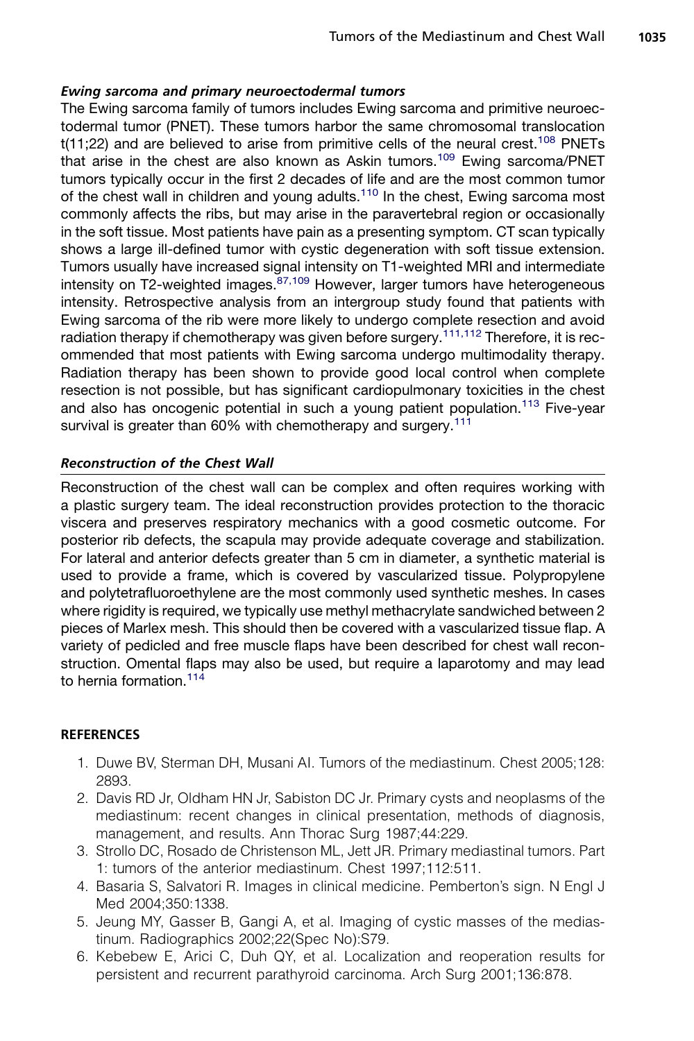## <span id="page-16-0"></span>Ewing sarcoma and primary neuroectodermal tumors

The Ewing sarcoma family of tumors includes Ewing sarcoma and primitive neuroectodermal tumor (PNET). These tumors harbor the same chromosomal translocation  $t(11;22)$  and are believed to arise from primitive cells of the neural crest.<sup>[108](#page-21-0)</sup> PNETs that arise in the chest are also known as Askin tumors.<sup>[109](#page-21-0)</sup> Ewing sarcoma/PNET tumors typically occur in the first 2 decades of life and are the most common tumor of the chest wall in children and young adults.<sup>110</sup> In the chest, Ewing sarcoma most commonly affects the ribs, but may arise in the paravertebral region or occasionally in the soft tissue. Most patients have pain as a presenting symptom. CT scan typically shows a large ill-defined tumor with cystic degeneration with soft tissue extension. Tumors usually have increased signal intensity on T1-weighted MRI and intermediate  $intensity$  on T2-weighted images. $87,109$  However, larger tumors have heterogeneous intensity. Retrospective analysis from an intergroup study found that patients with Ewing sarcoma of the rib were more likely to undergo complete resection and avoid radiation therapy if chemotherapy was given before surgery.<sup>[111,112](#page-21-0)</sup> Therefore, it is recommended that most patients with Ewing sarcoma undergo multimodality therapy. Radiation therapy has been shown to provide good local control when complete resection is not possible, but has significant cardiopulmonary toxicities in the chest and also has oncogenic potential in such a young patient population.<sup>[113](#page-21-0)</sup> Five-year survival is greater than 60% with chemotherapy and surgery.<sup>[111](#page-21-0)</sup>

# Reconstruction of the Chest Wall

Reconstruction of the chest wall can be complex and often requires working with a plastic surgery team. The ideal reconstruction provides protection to the thoracic viscera and preserves respiratory mechanics with a good cosmetic outcome. For posterior rib defects, the scapula may provide adequate coverage and stabilization. For lateral and anterior defects greater than 5 cm in diameter, a synthetic material is used to provide a frame, which is covered by vascularized tissue. Polypropylene and polytetrafluoroethylene are the most commonly used synthetic meshes. In cases where rigidity is required, we typically use methyl methacrylate sandwiched between 2 pieces of Marlex mesh. This should then be covered with a vascularized tissue flap. A variety of pedicled and free muscle flaps have been described for chest wall reconstruction. Omental flaps may also be used, but require a laparotomy and may lead to hernia formation [114](#page-21-0)

## **REFERENCES**

- 1. Duwe BV, Sterman DH, Musani AI. Tumors of the mediastinum. Chest 2005;128: 2893.
- 2. Davis RD Jr, Oldham HN Jr, Sabiston DC Jr. Primary cysts and neoplasms of the mediastinum: recent changes in clinical presentation, methods of diagnosis, management, and results. Ann Thorac Surg 1987;44:229.
- 3. Strollo DC, Rosado de Christenson ML, Jett JR. Primary mediastinal tumors. Part 1: tumors of the anterior mediastinum. Chest 1997;112:511.
- 4. Basaria S, Salvatori R. Images in clinical medicine. Pemberton's sign. N Engl J Med 2004;350:1338.
- 5. Jeung MY, Gasser B, Gangi A, et al. Imaging of cystic masses of the mediastinum. Radiographics 2002;22(Spec No):S79.
- 6. Kebebew E, Arici C, Duh QY, et al. Localization and reoperation results for persistent and recurrent parathyroid carcinoma. Arch Surg 2001;136:878.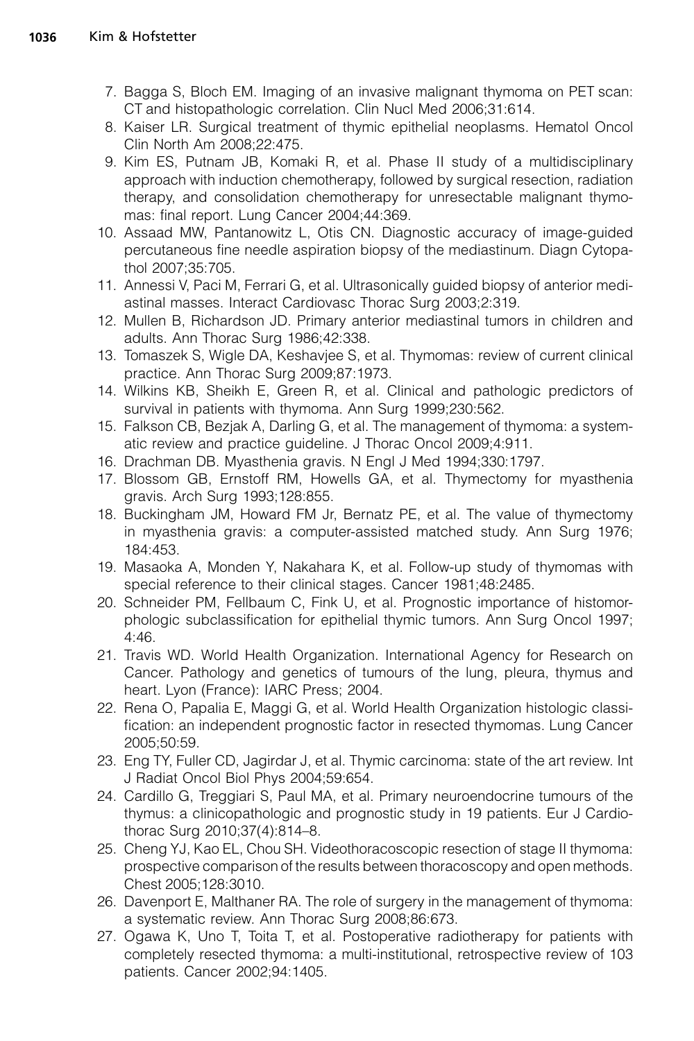- <span id="page-17-0"></span>7. Bagga S, Bloch EM. Imaging of an invasive malignant thymoma on PET scan: CT and histopathologic correlation. Clin Nucl Med 2006;31:614.
- 8. Kaiser LR. Surgical treatment of thymic epithelial neoplasms. Hematol Oncol Clin North Am 2008;22:475.
- 9. Kim ES, Putnam JB, Komaki R, et al. Phase II study of a multidisciplinary approach with induction chemotherapy, followed by surgical resection, radiation therapy, and consolidation chemotherapy for unresectable malignant thymomas: final report. Lung Cancer 2004;44:369.
- 10. Assaad MW, Pantanowitz L, Otis CN. Diagnostic accuracy of image-guided percutaneous fine needle aspiration biopsy of the mediastinum. Diagn Cytopathol 2007;35:705.
- 11. Annessi V, Paci M, Ferrari G, et al. Ultrasonically guided biopsy of anterior mediastinal masses. Interact Cardiovasc Thorac Surg 2003;2:319.
- 12. Mullen B, Richardson JD. Primary anterior mediastinal tumors in children and adults. Ann Thorac Surg 1986;42:338.
- 13. Tomaszek S, Wigle DA, Keshavjee S, et al. Thymomas: review of current clinical practice. Ann Thorac Surg 2009;87:1973.
- 14. Wilkins KB, Sheikh E, Green R, et al. Clinical and pathologic predictors of survival in patients with thymoma. Ann Surg 1999;230:562.
- 15. Falkson CB, Bezjak A, Darling G, et al. The management of thymoma: a systematic review and practice guideline. J Thorac Oncol 2009;4:911.
- 16. Drachman DB. Myasthenia gravis. N Engl J Med 1994;330:1797.
- 17. Blossom GB, Ernstoff RM, Howells GA, et al. Thymectomy for myasthenia gravis. Arch Surg 1993;128:855.
- 18. Buckingham JM, Howard FM Jr, Bernatz PE, et al. The value of thymectomy in myasthenia gravis: a computer-assisted matched study. Ann Surg 1976; 184:453.
- 19. Masaoka A, Monden Y, Nakahara K, et al. Follow-up study of thymomas with special reference to their clinical stages. Cancer 1981;48:2485.
- 20. Schneider PM, Fellbaum C, Fink U, et al. Prognostic importance of histomorphologic subclassification for epithelial thymic tumors. Ann Surg Oncol 1997; 4:46.
- 21. Travis WD. World Health Organization. International Agency for Research on Cancer. Pathology and genetics of tumours of the lung, pleura, thymus and heart. Lyon (France): IARC Press; 2004.
- 22. Rena O, Papalia E, Maggi G, et al. World Health Organization histologic classification: an independent prognostic factor in resected thymomas. Lung Cancer 2005;50:59.
- 23. Eng TY, Fuller CD, Jagirdar J, et al. Thymic carcinoma: state of the art review. Int J Radiat Oncol Biol Phys 2004;59:654.
- 24. Cardillo G, Treggiari S, Paul MA, et al. Primary neuroendocrine tumours of the thymus: a clinicopathologic and prognostic study in 19 patients. Eur J Cardiothorac Surg 2010;37(4):814–8.
- 25. Cheng YJ, Kao EL, Chou SH. Videothoracoscopic resection of stage II thymoma: prospective comparison of the results between thoracoscopy and open methods. Chest 2005;128:3010.
- 26. Davenport E, Malthaner RA. The role of surgery in the management of thymoma: a systematic review. Ann Thorac Surg 2008;86:673.
- 27. Ogawa K, Uno T, Toita T, et al. Postoperative radiotherapy for patients with completely resected thymoma: a multi-institutional, retrospective review of 103 patients. Cancer 2002;94:1405.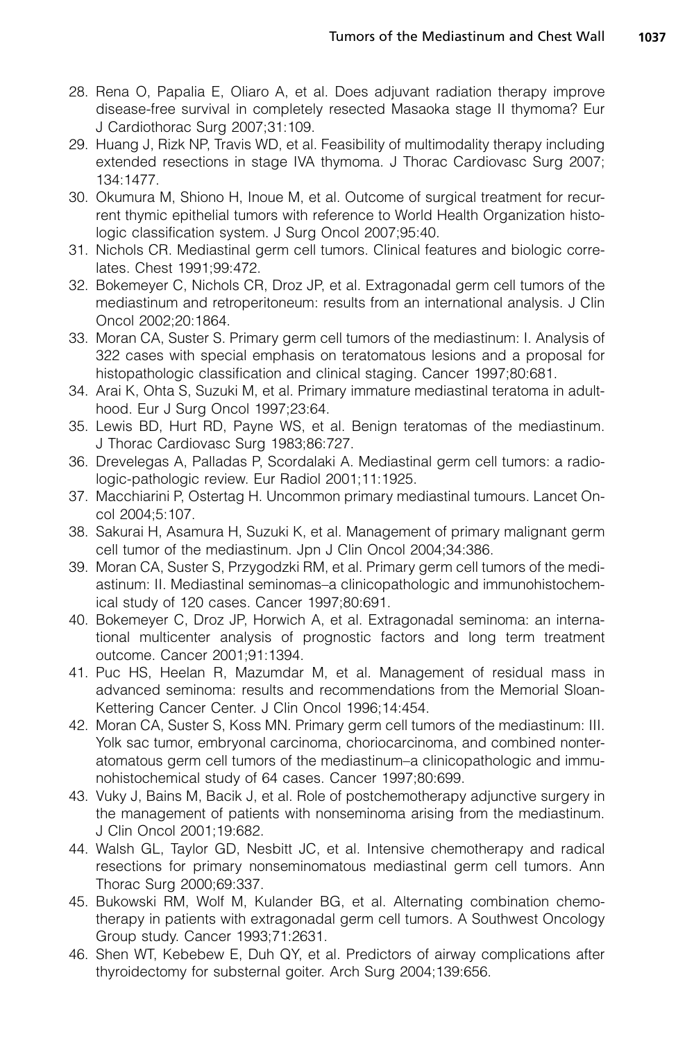- <span id="page-18-0"></span>28. Rena O, Papalia E, Oliaro A, et al. Does adjuvant radiation therapy improve disease-free survival in completely resected Masaoka stage II thymoma? Eur J Cardiothorac Surg 2007;31:109.
- 29. Huang J, Rizk NP, Travis WD, et al. Feasibility of multimodality therapy including extended resections in stage IVA thymoma. J Thorac Cardiovasc Surg 2007; 134:1477.
- 30. Okumura M, Shiono H, Inoue M, et al. Outcome of surgical treatment for recurrent thymic epithelial tumors with reference to World Health Organization histologic classification system. J Surg Oncol 2007;95:40.
- 31. Nichols CR. Mediastinal germ cell tumors. Clinical features and biologic correlates. Chest 1991;99:472.
- 32. Bokemeyer C, Nichols CR, Droz JP, et al. Extragonadal germ cell tumors of the mediastinum and retroperitoneum: results from an international analysis. J Clin Oncol 2002;20:1864.
- 33. Moran CA, Suster S. Primary germ cell tumors of the mediastinum: I. Analysis of 322 cases with special emphasis on teratomatous lesions and a proposal for histopathologic classification and clinical staging. Cancer 1997;80:681.
- 34. Arai K, Ohta S, Suzuki M, et al. Primary immature mediastinal teratoma in adulthood. Eur J Surg Oncol 1997;23:64.
- 35. Lewis BD, Hurt RD, Payne WS, et al. Benign teratomas of the mediastinum. J Thorac Cardiovasc Surg 1983;86:727.
- 36. Drevelegas A, Palladas P, Scordalaki A. Mediastinal germ cell tumors: a radiologic-pathologic review. Eur Radiol 2001;11:1925.
- 37. Macchiarini P, Ostertag H. Uncommon primary mediastinal tumours. Lancet Oncol 2004;5:107.
- 38. Sakurai H, Asamura H, Suzuki K, et al. Management of primary malignant germ cell tumor of the mediastinum. Jpn J Clin Oncol 2004;34:386.
- 39. Moran CA, Suster S, Przygodzki RM, et al. Primary germ cell tumors of the mediastinum: II. Mediastinal seminomas–a clinicopathologic and immunohistochemical study of 120 cases. Cancer 1997;80:691.
- 40. Bokemeyer C, Droz JP, Horwich A, et al. Extragonadal seminoma: an international multicenter analysis of prognostic factors and long term treatment outcome. Cancer 2001;91:1394.
- 41. Puc HS, Heelan R, Mazumdar M, et al. Management of residual mass in advanced seminoma: results and recommendations from the Memorial Sloan-Kettering Cancer Center. J Clin Oncol 1996;14:454.
- 42. Moran CA, Suster S, Koss MN. Primary germ cell tumors of the mediastinum: III. Yolk sac tumor, embryonal carcinoma, choriocarcinoma, and combined nonteratomatous germ cell tumors of the mediastinum–a clinicopathologic and immunohistochemical study of 64 cases. Cancer 1997;80:699.
- 43. Vuky J, Bains M, Bacik J, et al. Role of postchemotherapy adjunctive surgery in the management of patients with nonseminoma arising from the mediastinum. J Clin Oncol 2001;19:682.
- 44. Walsh GL, Taylor GD, Nesbitt JC, et al. Intensive chemotherapy and radical resections for primary nonseminomatous mediastinal germ cell tumors. Ann Thorac Surg 2000;69:337.
- 45. Bukowski RM, Wolf M, Kulander BG, et al. Alternating combination chemotherapy in patients with extragonadal germ cell tumors. A Southwest Oncology Group study. Cancer 1993;71:2631.
- 46. Shen WT, Kebebew E, Duh QY, et al. Predictors of airway complications after thyroidectomy for substernal goiter. Arch Surg 2004;139:656.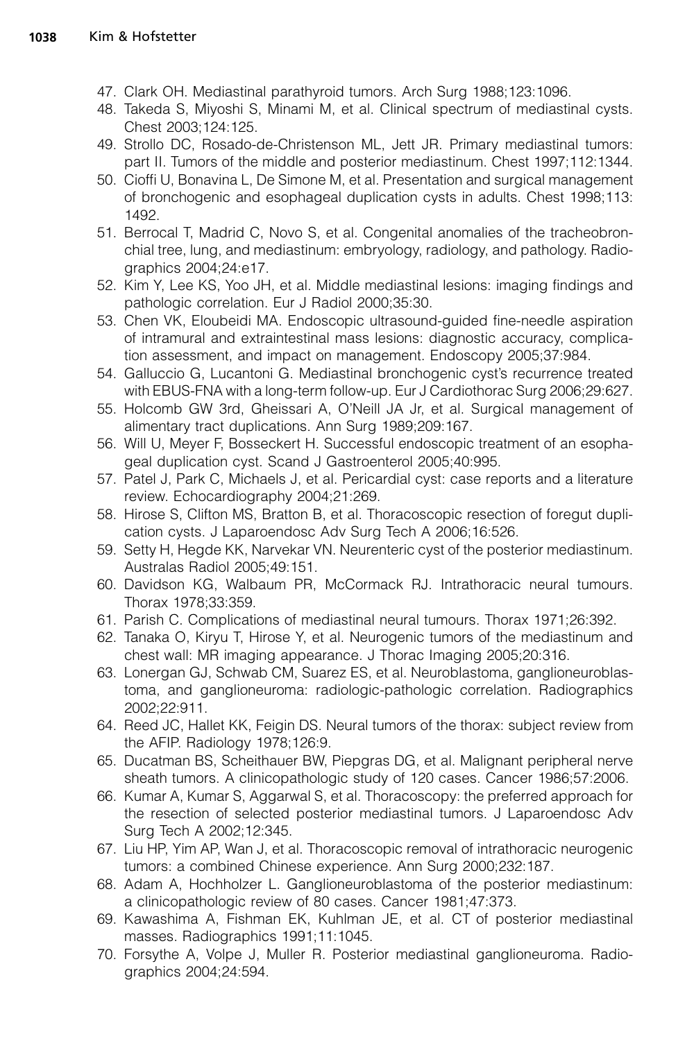- <span id="page-19-0"></span>47. Clark OH. Mediastinal parathyroid tumors. Arch Surg 1988;123:1096.
- 48. Takeda S, Miyoshi S, Minami M, et al. Clinical spectrum of mediastinal cysts. Chest 2003;124:125.
- 49. Strollo DC, Rosado-de-Christenson ML, Jett JR. Primary mediastinal tumors: part II. Tumors of the middle and posterior mediastinum. Chest 1997;112:1344.
- 50. Cioffi U, Bonavina L, De Simone M, et al. Presentation and surgical management of bronchogenic and esophageal duplication cysts in adults. Chest 1998;113: 1492.
- 51. Berrocal T, Madrid C, Novo S, et al. Congenital anomalies of the tracheobronchial tree, lung, and mediastinum: embryology, radiology, and pathology. Radiographics 2004;24:e17.
- 52. Kim Y, Lee KS, Yoo JH, et al. Middle mediastinal lesions: imaging findings and pathologic correlation. Eur J Radiol 2000;35:30.
- 53. Chen VK, Eloubeidi MA. Endoscopic ultrasound-guided fine-needle aspiration of intramural and extraintestinal mass lesions: diagnostic accuracy, complication assessment, and impact on management. Endoscopy 2005;37:984.
- 54. Galluccio G, Lucantoni G. Mediastinal bronchogenic cyst's recurrence treated with EBUS-FNA with a long-term follow-up. Eur J Cardiothorac Surg 2006;29:627.
- 55. Holcomb GW 3rd, Gheissari A, O'Neill JA Jr, et al. Surgical management of alimentary tract duplications. Ann Surg 1989;209:167.
- 56. Will U, Meyer F, Bosseckert H. Successful endoscopic treatment of an esophageal duplication cyst. Scand J Gastroenterol 2005;40:995.
- 57. Patel J, Park C, Michaels J, et al. Pericardial cyst: case reports and a literature review. Echocardiography 2004;21:269.
- 58. Hirose S, Clifton MS, Bratton B, et al. Thoracoscopic resection of foregut duplication cysts. J Laparoendosc Adv Surg Tech A 2006;16:526.
- 59. Setty H, Hegde KK, Narvekar VN. Neurenteric cyst of the posterior mediastinum. Australas Radiol 2005;49:151.
- 60. Davidson KG, Walbaum PR, McCormack RJ. Intrathoracic neural tumours. Thorax 1978;33:359.
- 61. Parish C. Complications of mediastinal neural tumours. Thorax 1971;26:392.
- 62. Tanaka O, Kiryu T, Hirose Y, et al. Neurogenic tumors of the mediastinum and chest wall: MR imaging appearance. J Thorac Imaging 2005;20:316.
- 63. Lonergan GJ, Schwab CM, Suarez ES, et al. Neuroblastoma, ganglioneuroblastoma, and ganglioneuroma: radiologic-pathologic correlation. Radiographics 2002;22:911.
- 64. Reed JC, Hallet KK, Feigin DS. Neural tumors of the thorax: subject review from the AFIP. Radiology 1978;126:9.
- 65. Ducatman BS, Scheithauer BW, Piepgras DG, et al. Malignant peripheral nerve sheath tumors. A clinicopathologic study of 120 cases. Cancer 1986;57:2006.
- 66. Kumar A, Kumar S, Aggarwal S, et al. Thoracoscopy: the preferred approach for the resection of selected posterior mediastinal tumors. J Laparoendosc Adv Surg Tech A 2002;12:345.
- 67. Liu HP, Yim AP, Wan J, et al. Thoracoscopic removal of intrathoracic neurogenic tumors: a combined Chinese experience. Ann Surg 2000;232:187.
- 68. Adam A, Hochholzer L. Ganglioneuroblastoma of the posterior mediastinum: a clinicopathologic review of 80 cases. Cancer 1981;47:373.
- 69. Kawashima A, Fishman EK, Kuhlman JE, et al. CT of posterior mediastinal masses. Radiographics 1991;11:1045.
- 70. Forsythe A, Volpe J, Muller R. Posterior mediastinal ganglioneuroma. Radiographics 2004;24:594.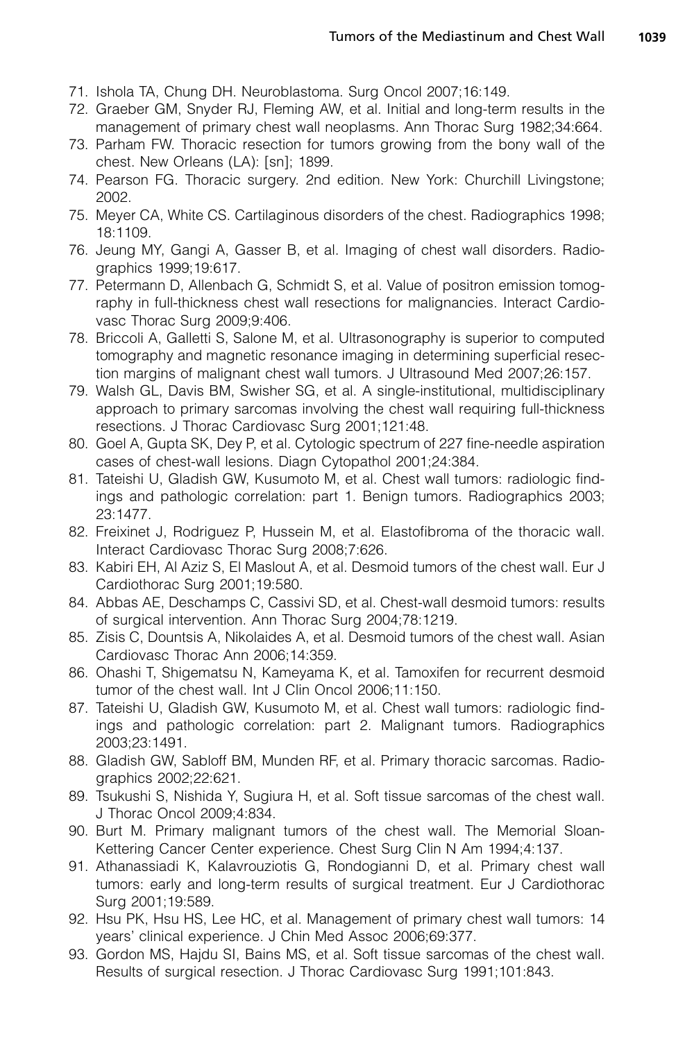- <span id="page-20-0"></span>71. Ishola TA, Chung DH. Neuroblastoma. Surg Oncol 2007;16:149.
- 72. Graeber GM, Snyder RJ, Fleming AW, et al. Initial and long-term results in the management of primary chest wall neoplasms. Ann Thorac Surg 1982;34:664.
- 73. Parham FW. Thoracic resection for tumors growing from the bony wall of the chest. New Orleans (LA): [sn]; 1899.
- 74. Pearson FG. Thoracic surgery. 2nd edition. New York: Churchill Livingstone; 2002.
- 75. Meyer CA, White CS. Cartilaginous disorders of the chest. Radiographics 1998; 18:1109.
- 76. Jeung MY, Gangi A, Gasser B, et al. Imaging of chest wall disorders. Radiographics 1999;19:617.
- 77. Petermann D, Allenbach G, Schmidt S, et al. Value of positron emission tomography in full-thickness chest wall resections for malignancies. Interact Cardiovasc Thorac Surg 2009;9:406.
- 78. Briccoli A, Galletti S, Salone M, et al. Ultrasonography is superior to computed tomography and magnetic resonance imaging in determining superficial resection margins of malignant chest wall tumors. J Ultrasound Med 2007;26:157.
- 79. Walsh GL, Davis BM, Swisher SG, et al. A single-institutional, multidisciplinary approach to primary sarcomas involving the chest wall requiring full-thickness resections. J Thorac Cardiovasc Surg 2001;121:48.
- 80. Goel A, Gupta SK, Dey P, et al. Cytologic spectrum of 227 fine-needle aspiration cases of chest-wall lesions. Diagn Cytopathol 2001;24:384.
- 81. Tateishi U, Gladish GW, Kusumoto M, et al. Chest wall tumors: radiologic findings and pathologic correlation: part 1. Benign tumors. Radiographics 2003; 23:1477.
- 82. Freixinet J, Rodriguez P, Hussein M, et al. Elastofibroma of the thoracic wall. Interact Cardiovasc Thorac Surg 2008;7:626.
- 83. Kabiri EH, Al Aziz S, El Maslout A, et al. Desmoid tumors of the chest wall. Eur J Cardiothorac Surg 2001;19:580.
- 84. Abbas AE, Deschamps C, Cassivi SD, et al. Chest-wall desmoid tumors: results of surgical intervention. Ann Thorac Surg 2004;78:1219.
- 85. Zisis C, Dountsis A, Nikolaides A, et al. Desmoid tumors of the chest wall. Asian Cardiovasc Thorac Ann 2006;14:359.
- 86. Ohashi T, Shigematsu N, Kameyama K, et al. Tamoxifen for recurrent desmoid tumor of the chest wall. Int J Clin Oncol 2006;11:150.
- 87. Tateishi U, Gladish GW, Kusumoto M, et al. Chest wall tumors: radiologic findings and pathologic correlation: part 2. Malignant tumors. Radiographics 2003;23:1491.
- 88. Gladish GW, Sabloff BM, Munden RF, et al. Primary thoracic sarcomas. Radiographics 2002;22:621.
- 89. Tsukushi S, Nishida Y, Sugiura H, et al. Soft tissue sarcomas of the chest wall. J Thorac Oncol 2009;4:834.
- 90. Burt M. Primary malignant tumors of the chest wall. The Memorial Sloan-Kettering Cancer Center experience. Chest Surg Clin N Am 1994;4:137.
- 91. Athanassiadi K, Kalavrouziotis G, Rondogianni D, et al. Primary chest wall tumors: early and long-term results of surgical treatment. Eur J Cardiothorac Surg 2001;19:589.
- 92. Hsu PK, Hsu HS, Lee HC, et al. Management of primary chest wall tumors: 14 years' clinical experience. J Chin Med Assoc 2006;69:377.
- 93. Gordon MS, Hajdu SI, Bains MS, et al. Soft tissue sarcomas of the chest wall. Results of surgical resection. J Thorac Cardiovasc Surg 1991;101:843.